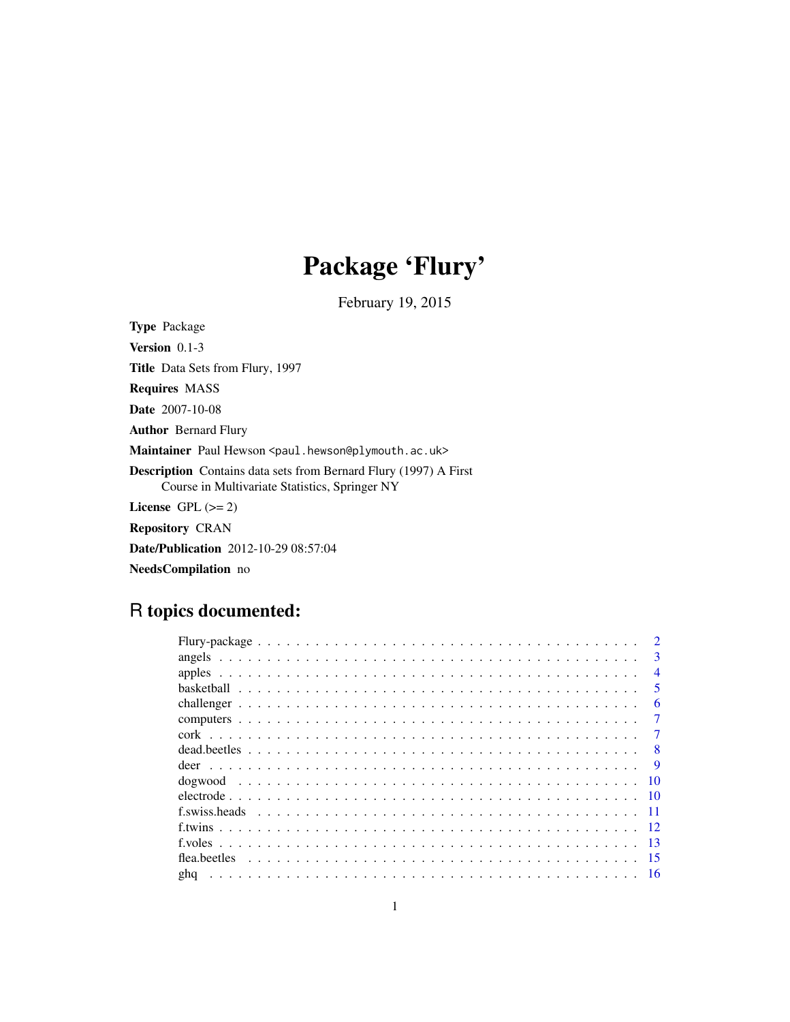## Package 'Flury'

February 19, 2015

Type Package Version 0.1-3 Title Data Sets from Flury, 1997 Requires MASS Date 2007-10-08 Author Bernard Flury Maintainer Paul Hewson <paul.hewson@plymouth.ac.uk> Description Contains data sets from Bernard Flury (1997) A First Course in Multivariate Statistics, Springer NY License GPL  $(>= 2)$ Repository CRAN Date/Publication 2012-10-29 08:57:04

NeedsCompilation no

## R topics documented:

| $\mathcal{D}$ |                          |
|---------------|--------------------------|
|               | 3                        |
|               | $\overline{\mathcal{A}}$ |
|               | .5                       |
|               | 6                        |
|               | 7                        |
| 7             |                          |
|               | 8                        |
|               | 9                        |
| - 10          |                          |
| $\sqrt{10}$   |                          |
|               |                          |
|               |                          |
| - 13          |                          |
| -15           |                          |
| gha           |                          |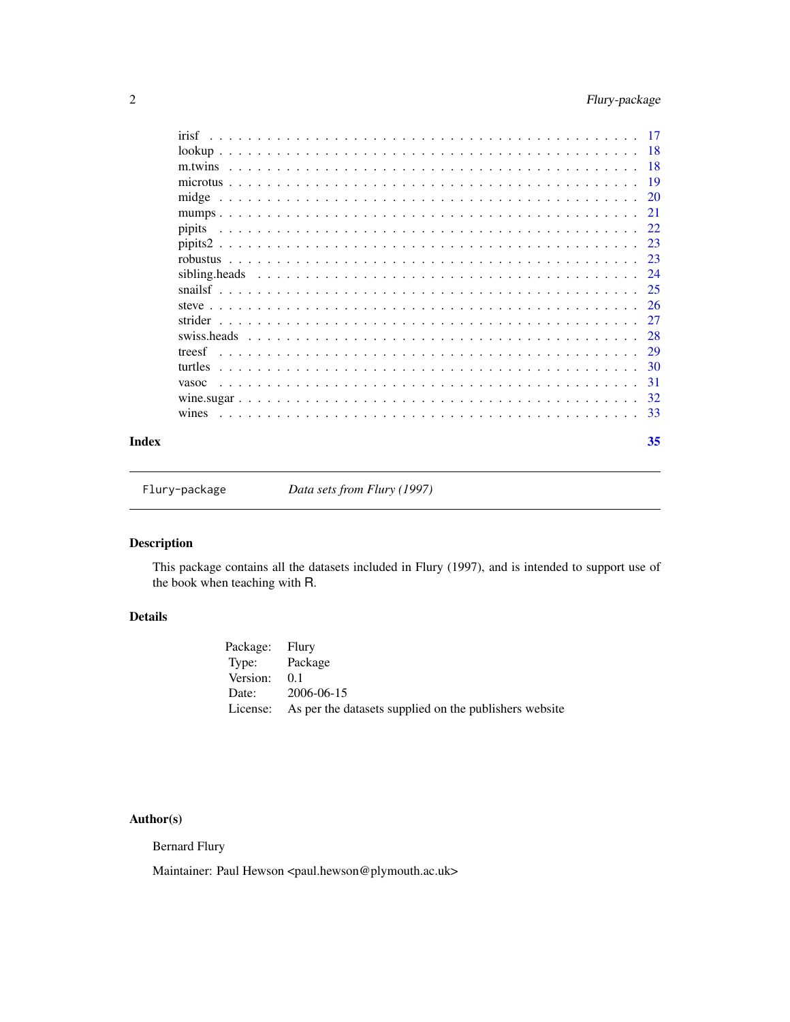<span id="page-1-0"></span>

| irisf   | -17 |
|---------|-----|
|         | -18 |
| m.twins | -18 |
|         | 19  |
|         | -20 |
|         | 21  |
| pipits  | 22  |
|         | 23  |
|         | 23  |
|         | 24  |
|         | 25  |
|         | 26  |
| strider | 27  |
|         | 28  |
| treesf  | 29  |
| turtles | -30 |
| vasoc   | -31 |
|         | 32  |
| wines   | -33 |
|         |     |

#### **Index** [35](#page-34-0)

Flury-package *Data sets from Flury (1997)*

## Description

This package contains all the datasets included in Flury (1997), and is intended to support use of the book when teaching with R.

## Details

| Package: Flury |                                                                 |
|----------------|-----------------------------------------------------------------|
| Type: Package  |                                                                 |
| Version:       | 0 <sup>1</sup>                                                  |
|                | Date: 2006-06-15                                                |
|                | License: As per the datasets supplied on the publishers website |

## Author(s)

Bernard Flury

Maintainer: Paul Hewson <paul.hewson@plymouth.ac.uk>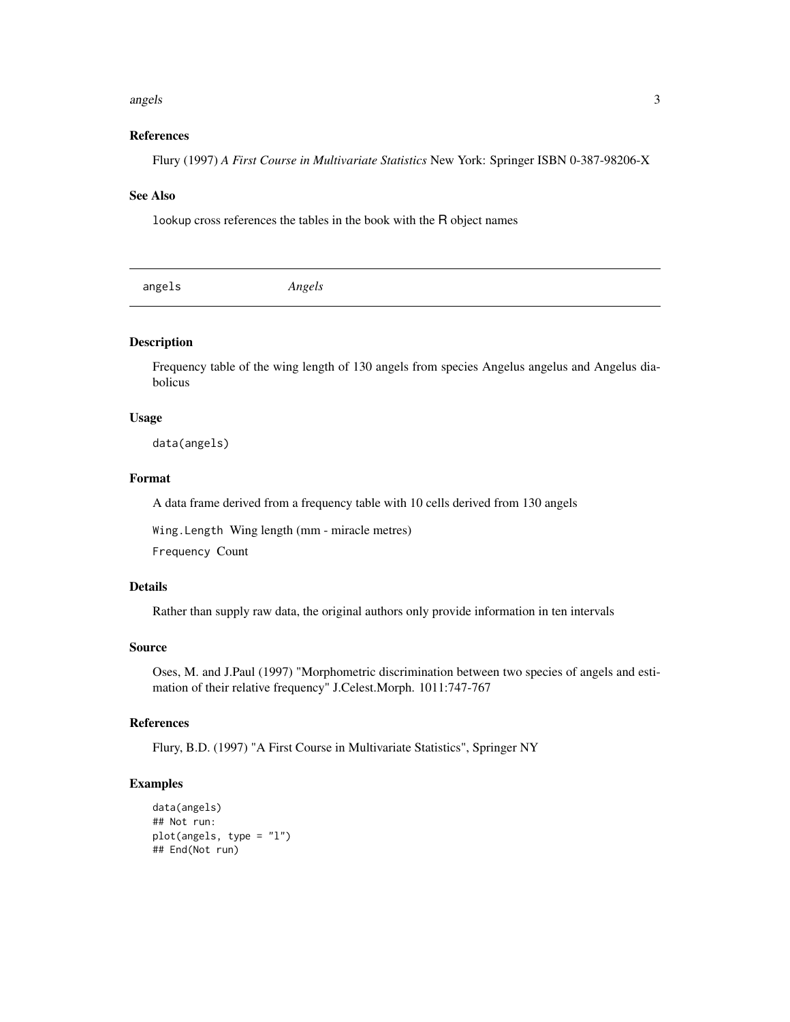#### <span id="page-2-0"></span>angels 3

## References

Flury (1997) *A First Course in Multivariate Statistics* New York: Springer ISBN 0-387-98206-X

#### See Also

lookup cross references the tables in the book with the R object names

| angels | Angels |  |  |  |
|--------|--------|--|--|--|
|--------|--------|--|--|--|

## Description

Frequency table of the wing length of 130 angels from species Angelus angelus and Angelus diabolicus

## Usage

data(angels)

## Format

A data frame derived from a frequency table with 10 cells derived from 130 angels

Wing.Length Wing length (mm - miracle metres)

Frequency Count

## Details

Rather than supply raw data, the original authors only provide information in ten intervals

#### Source

Oses, M. and J.Paul (1997) "Morphometric discrimination between two species of angels and estimation of their relative frequency" J.Celest.Morph. 1011:747-767

## References

Flury, B.D. (1997) "A First Course in Multivariate Statistics", Springer NY

```
data(angels)
## Not run:
plot(angels, type = "l")
## End(Not run)
```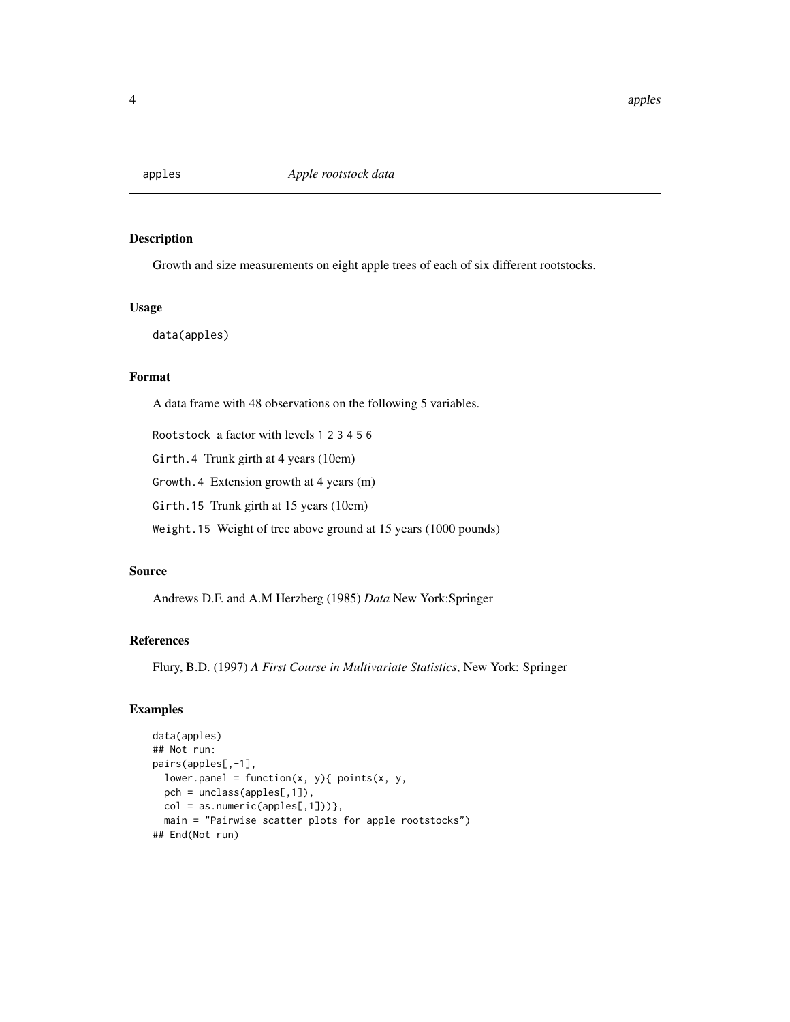<span id="page-3-0"></span>

Growth and size measurements on eight apple trees of each of six different rootstocks.

## Usage

data(apples)

## Format

A data frame with 48 observations on the following 5 variables.

Rootstock a factor with levels 1 2 3 4 5 6

Girth.4 Trunk girth at 4 years (10cm)

Growth.4 Extension growth at 4 years (m)

Girth.15 Trunk girth at 15 years (10cm)

Weight.15 Weight of tree above ground at 15 years (1000 pounds)

## Source

Andrews D.F. and A.M Herzberg (1985) *Data* New York:Springer

## References

Flury, B.D. (1997) *A First Course in Multivariate Statistics*, New York: Springer

```
data(apples)
## Not run:
pairs(apples[,-1],
 lower.panel = function(x, y){ points(x, y,
 pch = unclass(apples[,1]),
  col = as.numeric(\text{apples}[,1])),
  main = "Pairwise scatter plots for apple rootstocks")
## End(Not run)
```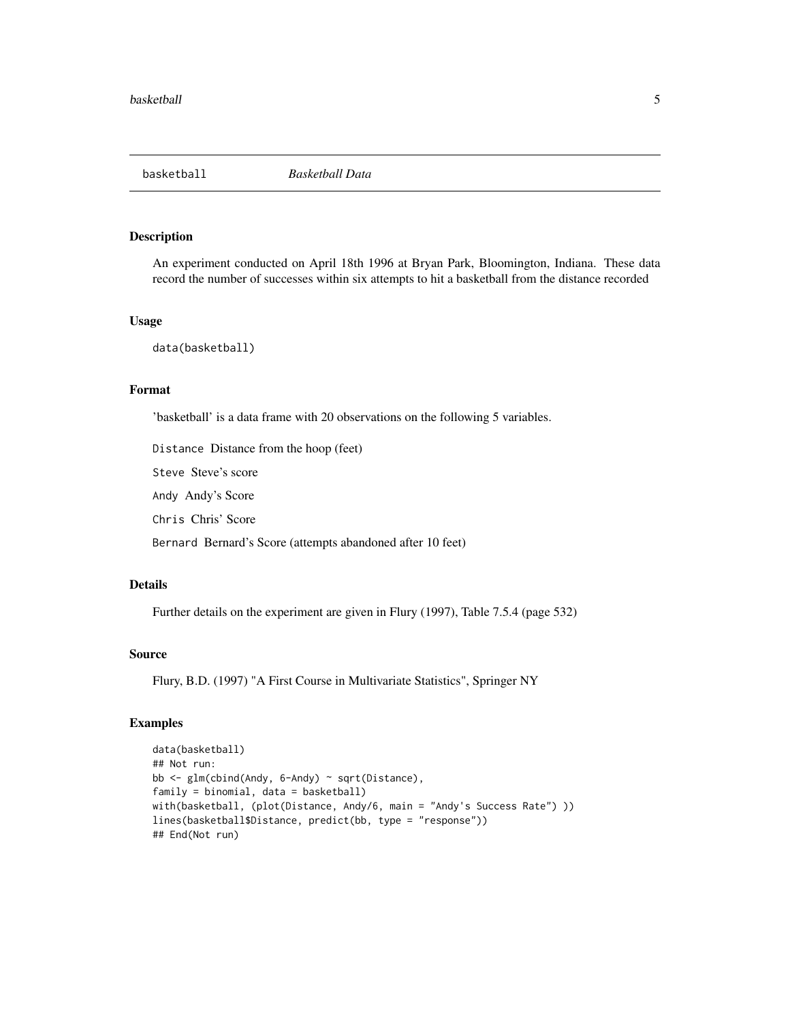<span id="page-4-0"></span>

An experiment conducted on April 18th 1996 at Bryan Park, Bloomington, Indiana. These data record the number of successes within six attempts to hit a basketball from the distance recorded

## Usage

data(basketball)

## Format

'basketball' is a data frame with 20 observations on the following 5 variables.

Distance Distance from the hoop (feet)

Steve Steve's score

Andy Andy's Score

Chris Chris' Score

Bernard Bernard's Score (attempts abandoned after 10 feet)

## Details

Further details on the experiment are given in Flury (1997), Table 7.5.4 (page 532)

#### Source

Flury, B.D. (1997) "A First Course in Multivariate Statistics", Springer NY

```
data(basketball)
## Not run:
bb <- glm(cbind(Andy, 6-Andy) ~ sqrt(Distance),
family = binomial, data = basketball)
with(basketball, (plot(Distance, Andy/6, main = "Andy's Success Rate") ))
lines(basketball$Distance, predict(bb, type = "response"))
## End(Not run)
```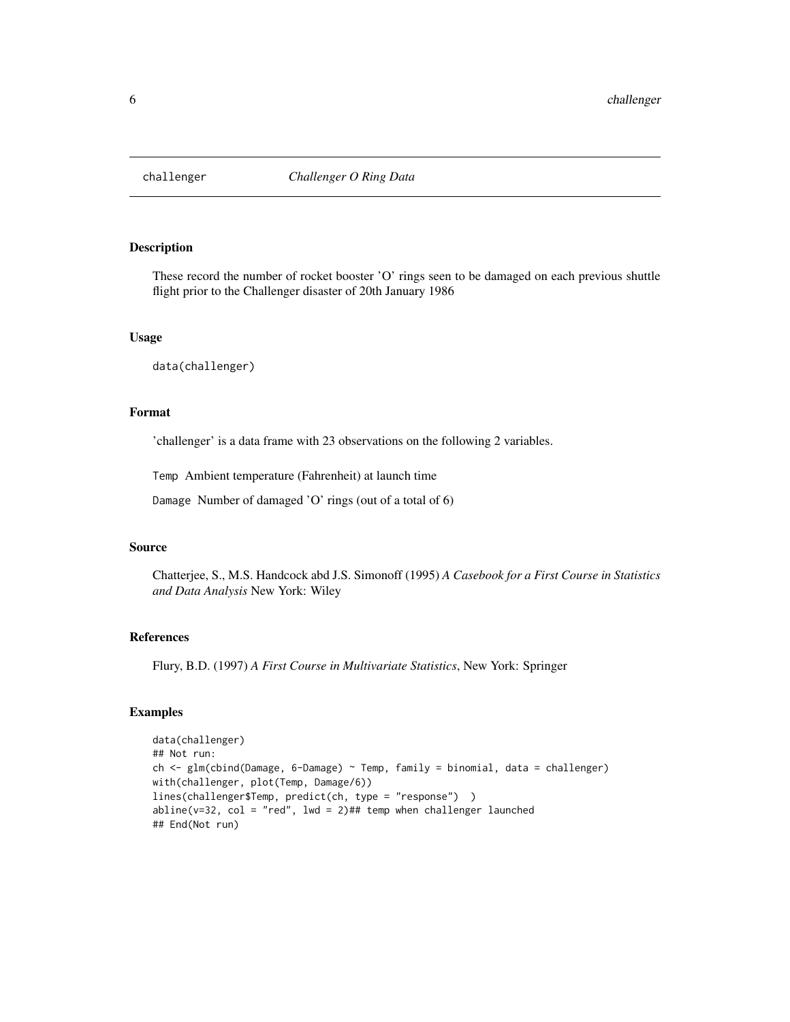<span id="page-5-0"></span>

These record the number of rocket booster 'O' rings seen to be damaged on each previous shuttle flight prior to the Challenger disaster of 20th January 1986

#### Usage

data(challenger)

## Format

'challenger' is a data frame with 23 observations on the following 2 variables.

Temp Ambient temperature (Fahrenheit) at launch time

Damage Number of damaged 'O' rings (out of a total of 6)

## Source

Chatterjee, S., M.S. Handcock abd J.S. Simonoff (1995) *A Casebook for a First Course in Statistics and Data Analysis* New York: Wiley

## References

Flury, B.D. (1997) *A First Course in Multivariate Statistics*, New York: Springer

```
data(challenger)
## Not run:
ch <- glm(cbind(Damage, 6-Damage) ~ Temp, family = binomial, data = challenger)
with(challenger, plot(Temp, Damage/6))
lines(challenger$Temp, predict(ch, type = "response") )
abline(v=32, col = "red", lwd = 2)## temp when challenger launched
## End(Not run)
```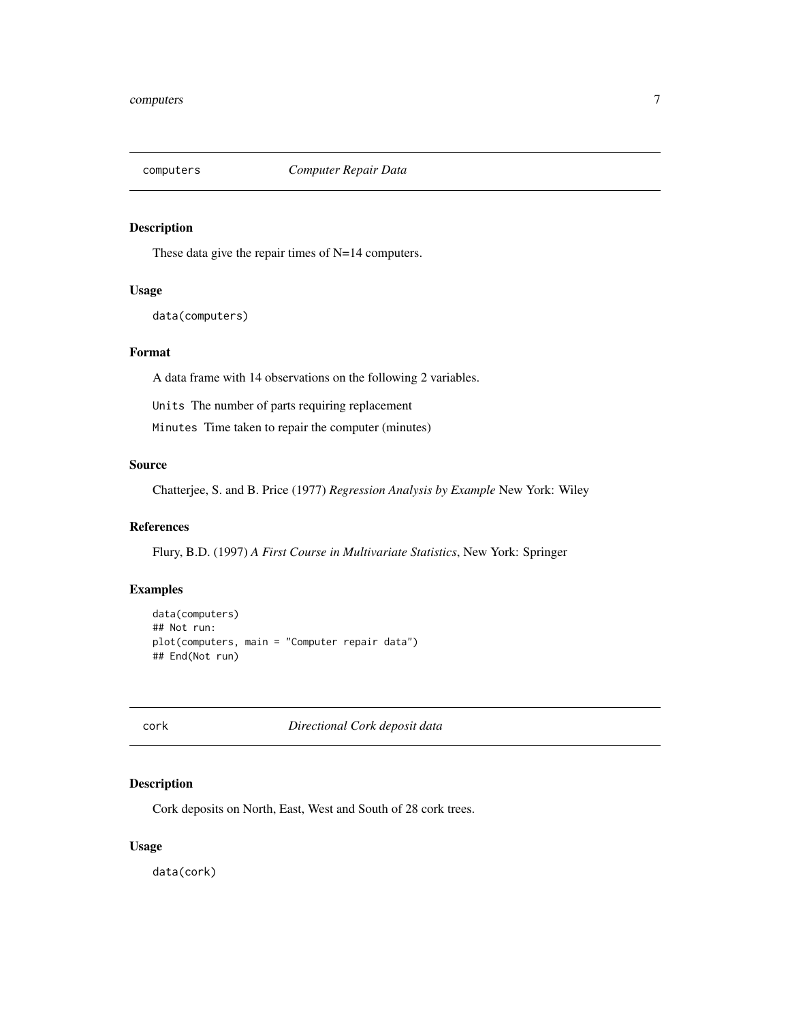<span id="page-6-0"></span>

These data give the repair times of N=14 computers.

## Usage

```
data(computers)
```
## Format

A data frame with 14 observations on the following 2 variables.

Units The number of parts requiring replacement

Minutes Time taken to repair the computer (minutes)

## Source

Chatterjee, S. and B. Price (1977) *Regression Analysis by Example* New York: Wiley

## References

Flury, B.D. (1997) *A First Course in Multivariate Statistics*, New York: Springer

## Examples

```
data(computers)
## Not run:
plot(computers, main = "Computer repair data")
## End(Not run)
```
cork *Directional Cork deposit data*

## Description

Cork deposits on North, East, West and South of 28 cork trees.

## Usage

data(cork)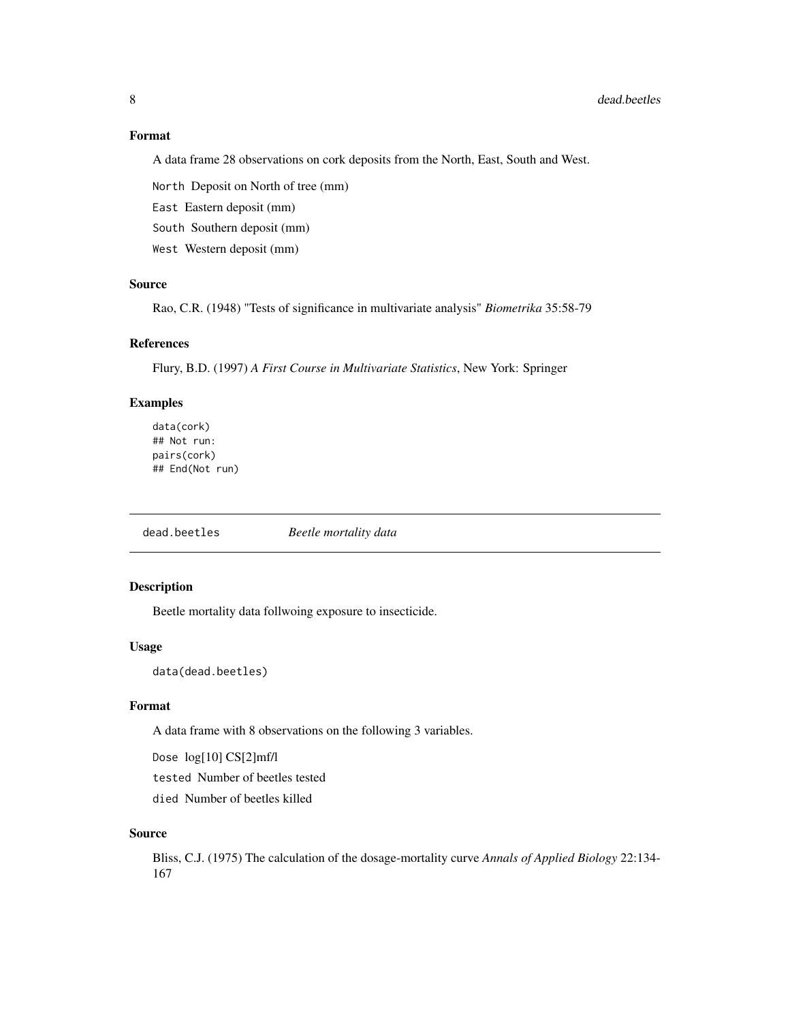#### Format

A data frame 28 observations on cork deposits from the North, East, South and West.

North Deposit on North of tree (mm)

East Eastern deposit (mm)

South Southern deposit (mm)

West Western deposit (mm)

## Source

Rao, C.R. (1948) "Tests of significance in multivariate analysis" *Biometrika* 35:58-79

#### References

Flury, B.D. (1997) *A First Course in Multivariate Statistics*, New York: Springer

## Examples

data(cork) ## Not run: pairs(cork) ## End(Not run)

dead.beetles *Beetle mortality data*

## Description

Beetle mortality data follwoing exposure to insecticide.

#### Usage

data(dead.beetles)

## Format

A data frame with 8 observations on the following 3 variables.

Dose log[10] CS[2]mf/l

tested Number of beetles tested

died Number of beetles killed

#### Source

Bliss, C.J. (1975) The calculation of the dosage-mortality curve *Annals of Applied Biology* 22:134- 167

<span id="page-7-0"></span>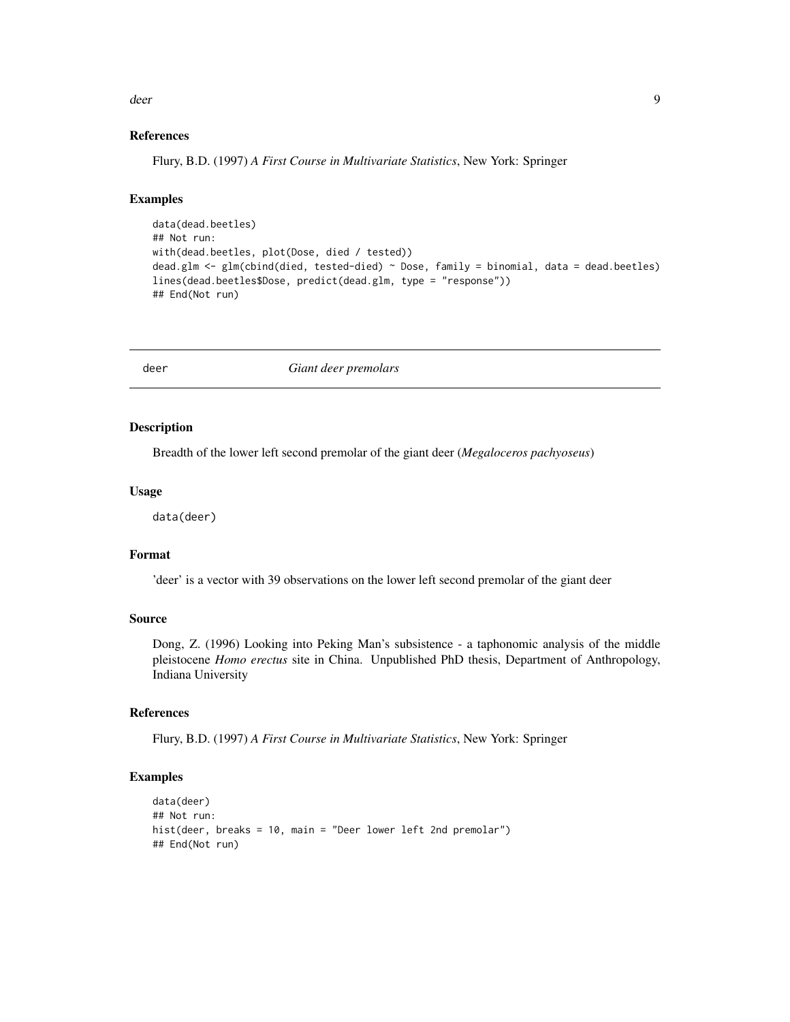<span id="page-8-0"></span>deer 99 was deep and the state of the state of the state of the state of the state of the state of the state of the state of the state of the state of the state of the state of the state of the state of the state of the st

#### References

Flury, B.D. (1997) *A First Course in Multivariate Statistics*, New York: Springer

## Examples

```
data(dead.beetles)
## Not run:
with(dead.beetles, plot(Dose, died / tested))
dead.glm <- glm(cbind(died, tested-died) ~ Dose, family = binomial, data = dead.beetles)
lines(dead.beetles$Dose, predict(dead.glm, type = "response"))
## End(Not run)
```
deer *Giant deer premolars*

#### Description

Breadth of the lower left second premolar of the giant deer (*Megaloceros pachyoseus*)

#### Usage

data(deer)

#### Format

'deer' is a vector with 39 observations on the lower left second premolar of the giant deer

#### Source

Dong, Z. (1996) Looking into Peking Man's subsistence - a taphonomic analysis of the middle pleistocene *Homo erectus* site in China. Unpublished PhD thesis, Department of Anthropology, Indiana University

## References

Flury, B.D. (1997) *A First Course in Multivariate Statistics*, New York: Springer

```
data(deer)
## Not run:
hist(deer, breaks = 10, main = "Deer lower left 2nd premolar")
## End(Not run)
```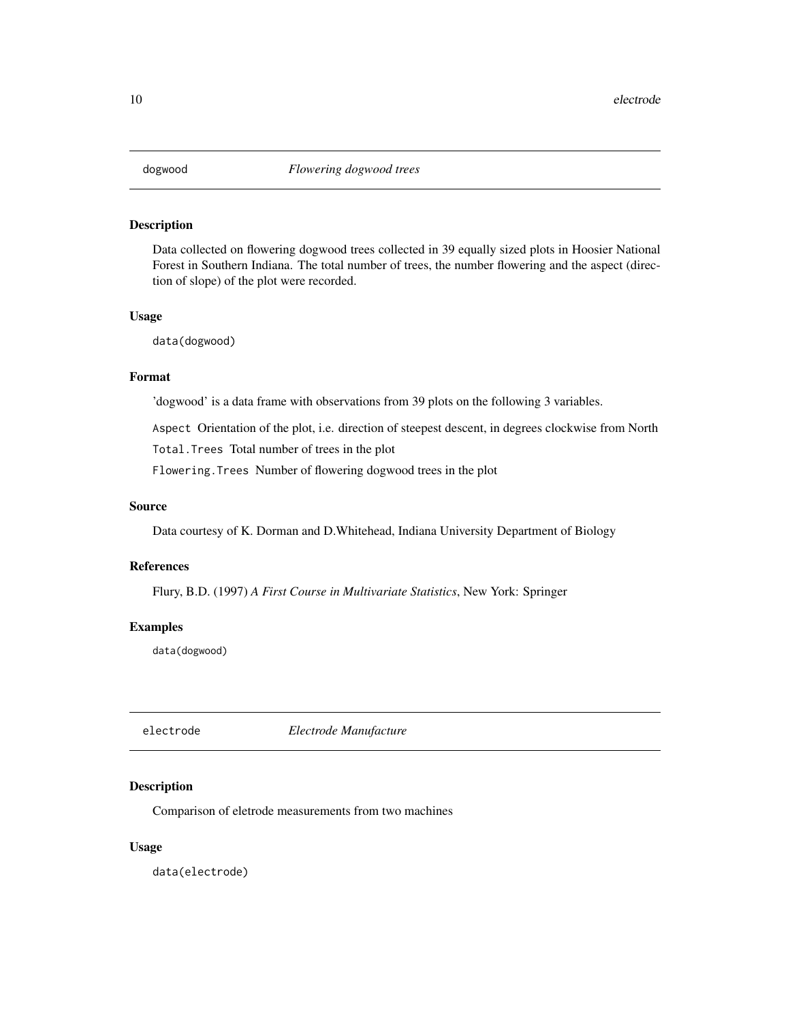<span id="page-9-0"></span>

Data collected on flowering dogwood trees collected in 39 equally sized plots in Hoosier National Forest in Southern Indiana. The total number of trees, the number flowering and the aspect (direction of slope) of the plot were recorded.

#### Usage

data(dogwood)

## Format

'dogwood' is a data frame with observations from 39 plots on the following 3 variables.

Aspect Orientation of the plot, i.e. direction of steepest descent, in degrees clockwise from North

Total.Trees Total number of trees in the plot

Flowering.Trees Number of flowering dogwood trees in the plot

### Source

Data courtesy of K. Dorman and D.Whitehead, Indiana University Department of Biology

## References

Flury, B.D. (1997) *A First Course in Multivariate Statistics*, New York: Springer

#### Examples

data(dogwood)

electrode *Electrode Manufacture*

## Description

Comparison of eletrode measurements from two machines

#### Usage

data(electrode)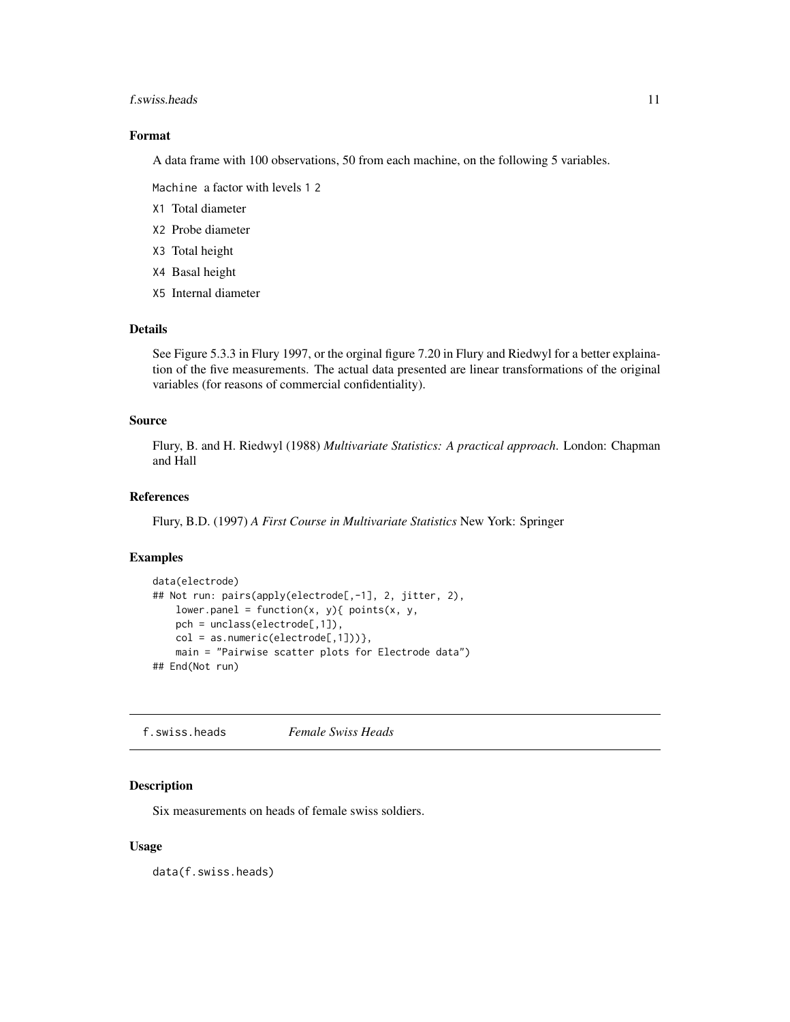#### <span id="page-10-0"></span>f.swiss.heads 11

## Format

A data frame with 100 observations, 50 from each machine, on the following 5 variables.

Machine a factor with levels 1 2

- X1 Total diameter
- X2 Probe diameter
- X3 Total height
- X4 Basal height
- X5 Internal diameter

#### Details

See Figure 5.3.3 in Flury 1997, or the orginal figure 7.20 in Flury and Riedwyl for a better explaination of the five measurements. The actual data presented are linear transformations of the original variables (for reasons of commercial confidentiality).

## Source

Flury, B. and H. Riedwyl (1988) *Multivariate Statistics: A practical approach*. London: Chapman and Hall

## References

Flury, B.D. (1997) *A First Course in Multivariate Statistics* New York: Springer

#### Examples

```
data(electrode)
## Not run: pairs(apply(electrode[,-1], 2, jitter, 2),
   lower.panel = function(x, y){ points(x, y),
   pch = unclass(electrode[,1]),
   col = as.numeric(electrode[, 1])),
   main = "Pairwise scatter plots for Electrode data")
## End(Not run)
```
f.swiss.heads *Female Swiss Heads*

## Description

Six measurements on heads of female swiss soldiers.

#### Usage

data(f.swiss.heads)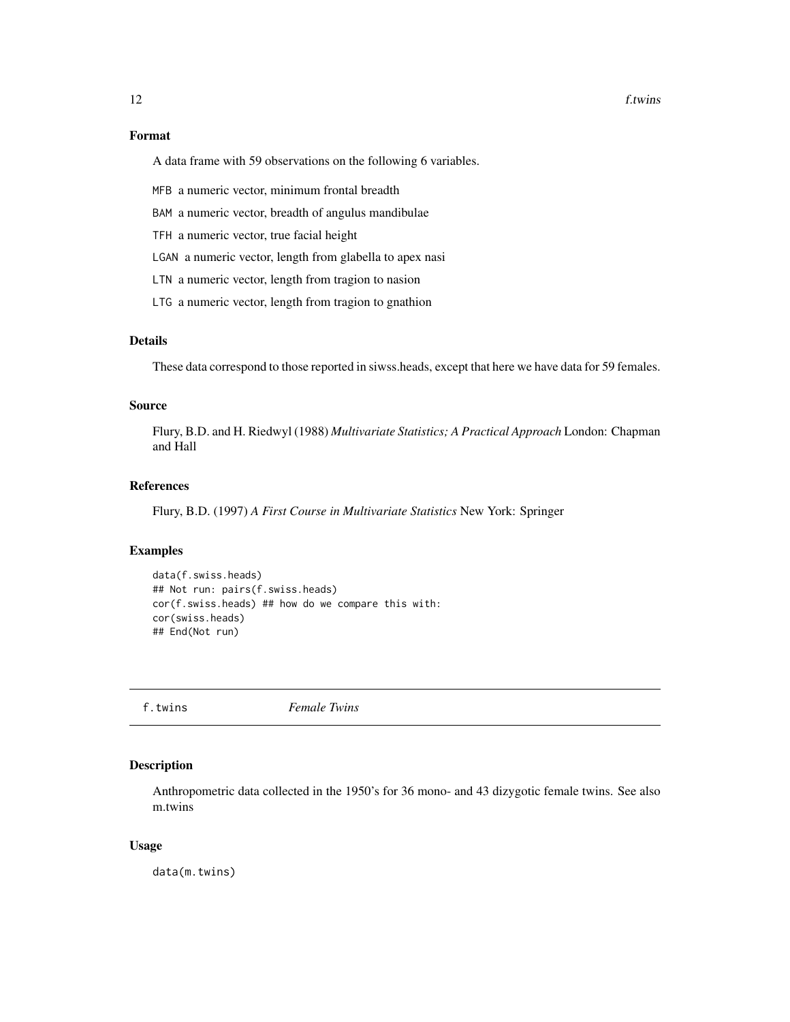#### <span id="page-11-0"></span>12 f.twins

## Format

A data frame with 59 observations on the following 6 variables.

MFB a numeric vector, minimum frontal breadth

BAM a numeric vector, breadth of angulus mandibulae

TFH a numeric vector, true facial height

LGAN a numeric vector, length from glabella to apex nasi

LTN a numeric vector, length from tragion to nasion

LTG a numeric vector, length from tragion to gnathion

## Details

These data correspond to those reported in siwss.heads, except that here we have data for 59 females.

#### Source

Flury, B.D. and H. Riedwyl (1988) *Multivariate Statistics; A Practical Approach* London: Chapman and Hall

## References

Flury, B.D. (1997) *A First Course in Multivariate Statistics* New York: Springer

#### Examples

```
data(f.swiss.heads)
## Not run: pairs(f.swiss.heads)
cor(f.swiss.heads) ## how do we compare this with:
cor(swiss.heads)
## End(Not run)
```
f.twins *Female Twins*

## Description

Anthropometric data collected in the 1950's for 36 mono- and 43 dizygotic female twins. See also m.twins

## Usage

data(m.twins)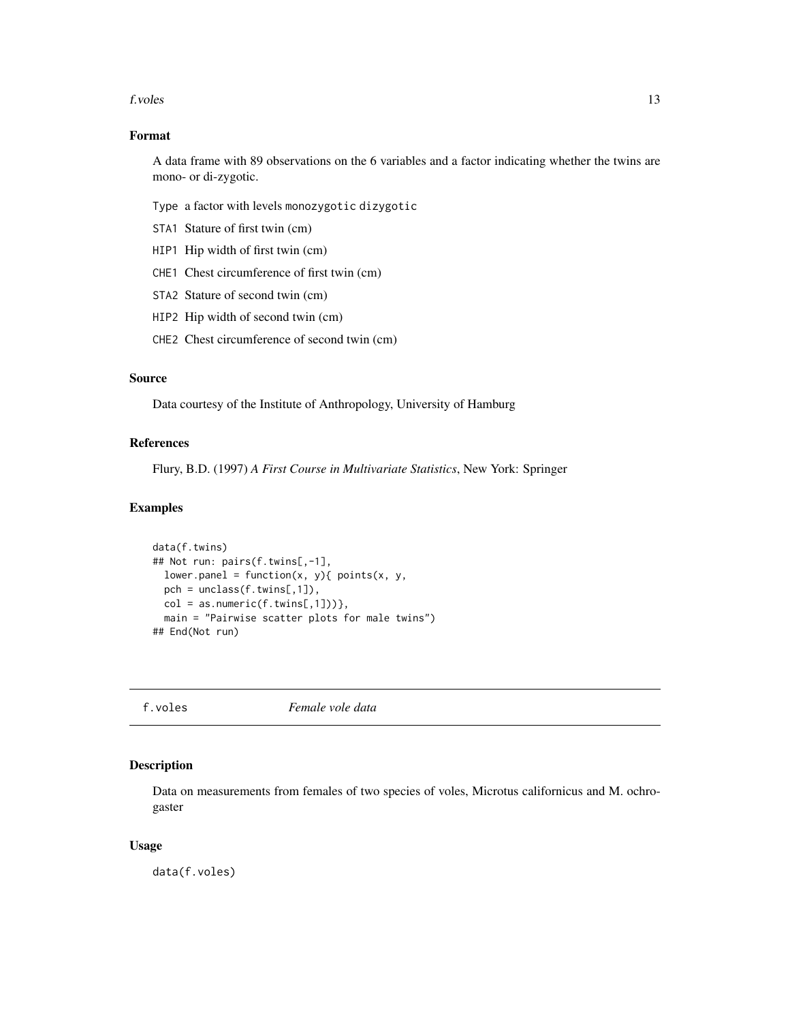#### <span id="page-12-0"></span>f. voles 13

## Format

A data frame with 89 observations on the 6 variables and a factor indicating whether the twins are mono- or di-zygotic.

Type a factor with levels monozygotic dizygotic

- STA1 Stature of first twin (cm)
- HIP1 Hip width of first twin (cm)
- CHE1 Chest circumference of first twin (cm)
- STA2 Stature of second twin (cm)
- HIP2 Hip width of second twin (cm)
- CHE2 Chest circumference of second twin (cm)

## Source

Data courtesy of the Institute of Anthropology, University of Hamburg

#### References

Flury, B.D. (1997) *A First Course in Multivariate Statistics*, New York: Springer

#### Examples

```
data(f.twins)
## Not run: pairs(f.twins[,-1],
 lower.panel = function(x, y){ points(x, y),
 pch = unclass(f.twins[,1]),
 col = as.numeric(f.twins[,1])),
 main = "Pairwise scatter plots for male twins")
## End(Not run)
```
f.voles *Female vole data*

## Description

Data on measurements from females of two species of voles, Microtus californicus and M. ochrogaster

## Usage

data(f.voles)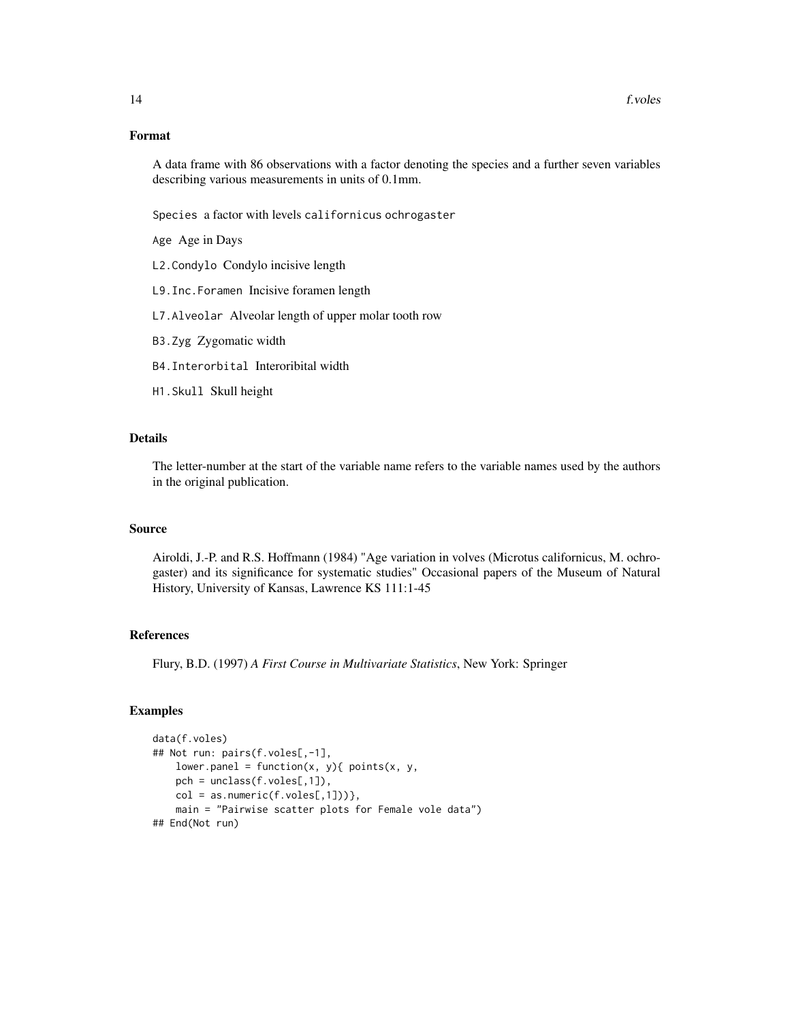## Format

A data frame with 86 observations with a factor denoting the species and a further seven variables describing various measurements in units of 0.1mm.

Species a factor with levels californicus ochrogaster

Age Age in Days

- L2.Condylo Condylo incisive length
- L9.Inc.Foramen Incisive foramen length
- L7.Alveolar Alveolar length of upper molar tooth row
- B3.Zyg Zygomatic width
- B4.Interorbital Interoribital width
- H1.Skull Skull height

## Details

The letter-number at the start of the variable name refers to the variable names used by the authors in the original publication.

## Source

Airoldi, J.-P. and R.S. Hoffmann (1984) "Age variation in volves (Microtus californicus, M. ochrogaster) and its significance for systematic studies" Occasional papers of the Museum of Natural History, University of Kansas, Lawrence KS 111:1-45

## References

Flury, B.D. (1997) *A First Course in Multivariate Statistics*, New York: Springer

```
data(f.voles)
## Not run: pairs(f.voles[,-1],
   lower.panel = function(x, y){ points(x, y),
   pch = unclass(f.voles[,1]),
   col = as.numeric(f.voles[, 1])),
   main = "Pairwise scatter plots for Female vole data")
## End(Not run)
```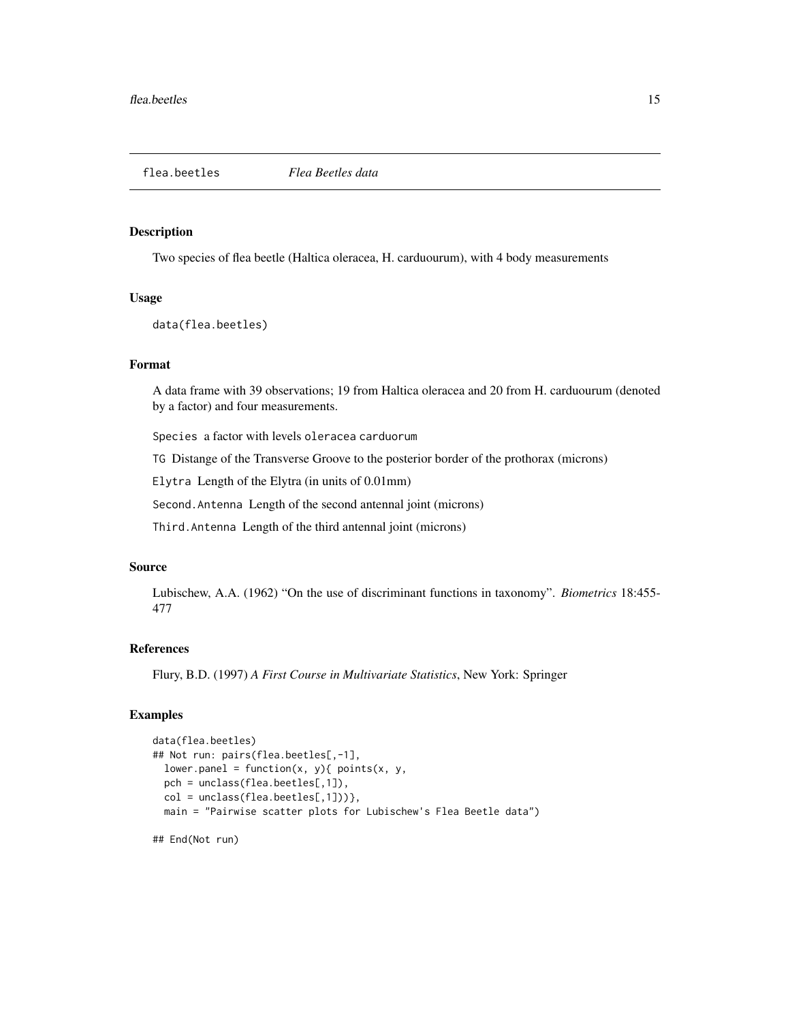<span id="page-14-0"></span>

Two species of flea beetle (Haltica oleracea, H. carduourum), with 4 body measurements

## Usage

data(flea.beetles)

#### Format

A data frame with 39 observations; 19 from Haltica oleracea and 20 from H. carduourum (denoted by a factor) and four measurements.

Species a factor with levels oleracea carduorum

TG Distange of the Transverse Groove to the posterior border of the prothorax (microns)

Elytra Length of the Elytra (in units of 0.01mm)

Second.Antenna Length of the second antennal joint (microns)

Third.Antenna Length of the third antennal joint (microns)

## Source

Lubischew, A.A. (1962) "On the use of discriminant functions in taxonomy". *Biometrics* 18:455- 477

## References

Flury, B.D. (1997) *A First Course in Multivariate Statistics*, New York: Springer

## Examples

```
data(flea.beetles)
## Not run: pairs(flea.beetles[,-1],
 lower.panel = function(x, y){ points(x, y),
 pch = unclass(flea.beetles[,1]),
 col = unclass(flea.beetles[, 1])},
 main = "Pairwise scatter plots for Lubischew's Flea Beetle data")
```
## End(Not run)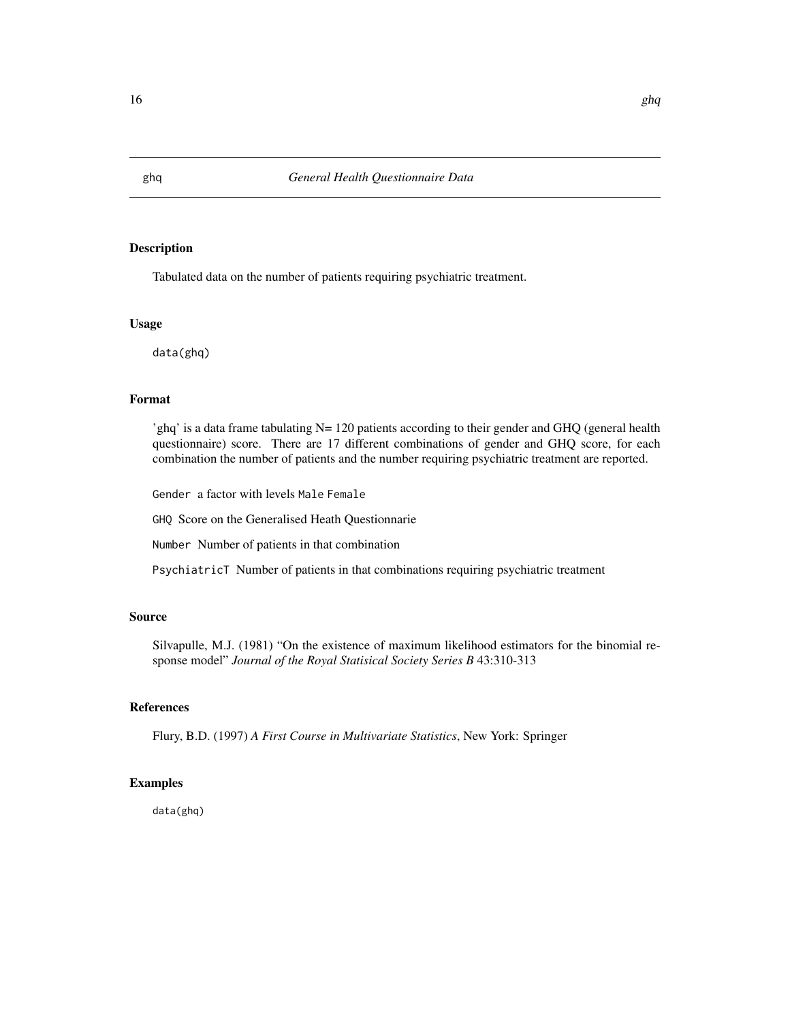Tabulated data on the number of patients requiring psychiatric treatment.

#### Usage

data(ghq)

## Format

'ghq' is a data frame tabulating N= 120 patients according to their gender and GHQ (general health questionnaire) score. There are 17 different combinations of gender and GHQ score, for each combination the number of patients and the number requiring psychiatric treatment are reported.

Gender a factor with levels Male Female

GHQ Score on the Generalised Heath Questionnarie

Number Number of patients in that combination

PsychiatricT Number of patients in that combinations requiring psychiatric treatment

## Source

Silvapulle, M.J. (1981) "On the existence of maximum likelihood estimators for the binomial response model" *Journal of the Royal Statisical Society Series B* 43:310-313

#### References

Flury, B.D. (1997) *A First Course in Multivariate Statistics*, New York: Springer

#### Examples

data(ghq)

<span id="page-15-0"></span>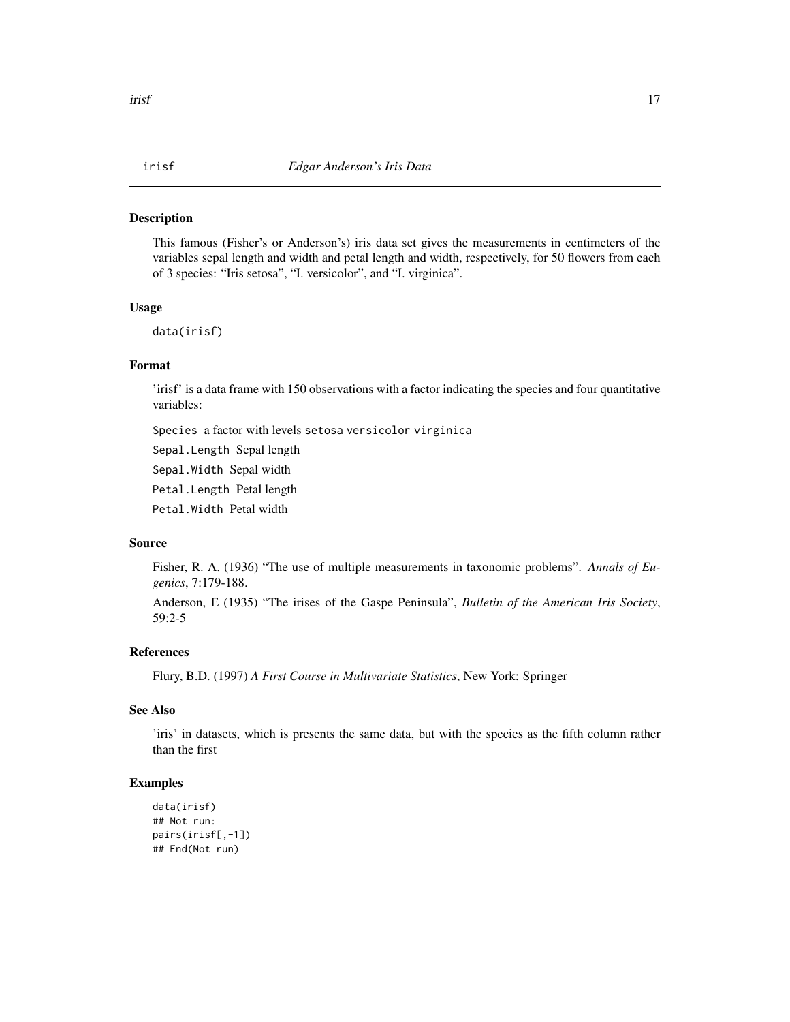<span id="page-16-0"></span>This famous (Fisher's or Anderson's) iris data set gives the measurements in centimeters of the variables sepal length and width and petal length and width, respectively, for 50 flowers from each of 3 species: "Iris setosa", "I. versicolor", and "I. virginica".

#### Usage

data(irisf)

## Format

'irisf' is a data frame with 150 observations with a factor indicating the species and four quantitative variables:

Species a factor with levels setosa versicolor virginica

Sepal.Length Sepal length

Sepal.Width Sepal width

Petal.Length Petal length

Petal.Width Petal width

## Source

Fisher, R. A. (1936) "The use of multiple measurements in taxonomic problems". *Annals of Eugenics*, 7:179-188.

Anderson, E (1935) "The irises of the Gaspe Peninsula", *Bulletin of the American Iris Society*, 59:2-5

## References

Flury, B.D. (1997) *A First Course in Multivariate Statistics*, New York: Springer

## See Also

'iris' in datasets, which is presents the same data, but with the species as the fifth column rather than the first

```
data(irisf)
## Not run:
pairs(irisf[,-1])
## End(Not run)
```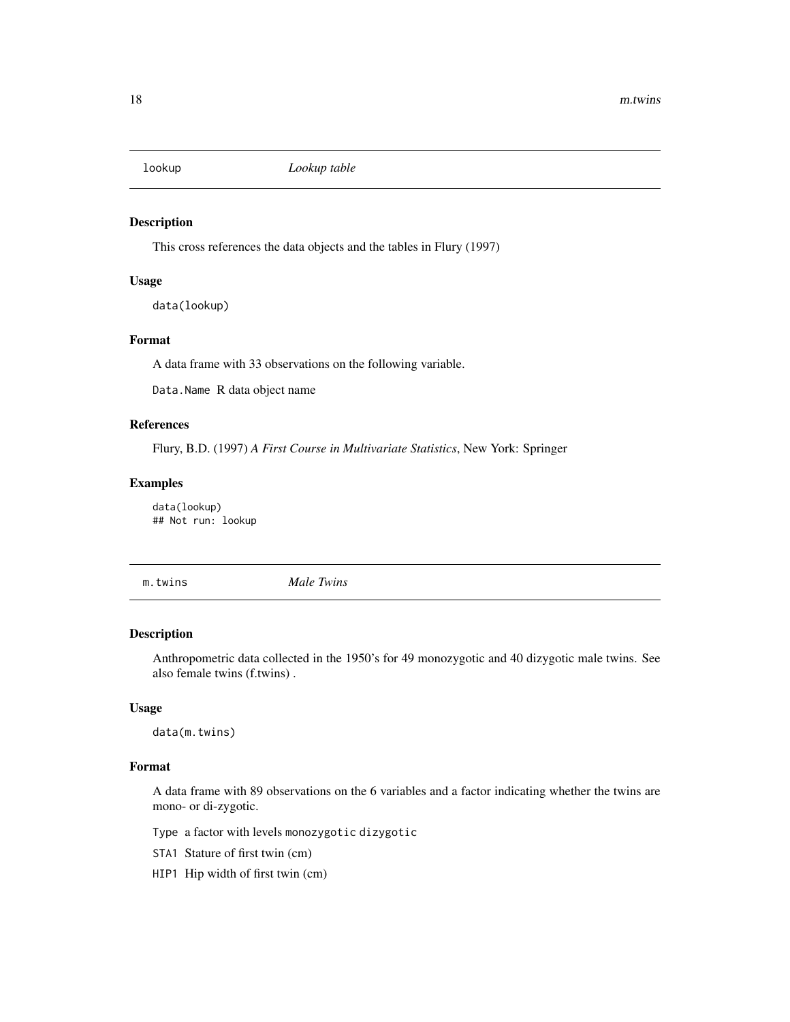<span id="page-17-0"></span>

This cross references the data objects and the tables in Flury (1997)

#### Usage

data(lookup)

## Format

A data frame with 33 observations on the following variable.

Data.Name R data object name

## References

Flury, B.D. (1997) *A First Course in Multivariate Statistics*, New York: Springer

## Examples

data(lookup) ## Not run: lookup

m.twins *Male Twins*

#### Description

Anthropometric data collected in the 1950's for 49 monozygotic and 40 dizygotic male twins. See also female twins (f.twins) .

#### Usage

data(m.twins)

## Format

A data frame with 89 observations on the 6 variables and a factor indicating whether the twins are mono- or di-zygotic.

Type a factor with levels monozygotic dizygotic

- STA1 Stature of first twin (cm)
- HIP1 Hip width of first twin (cm)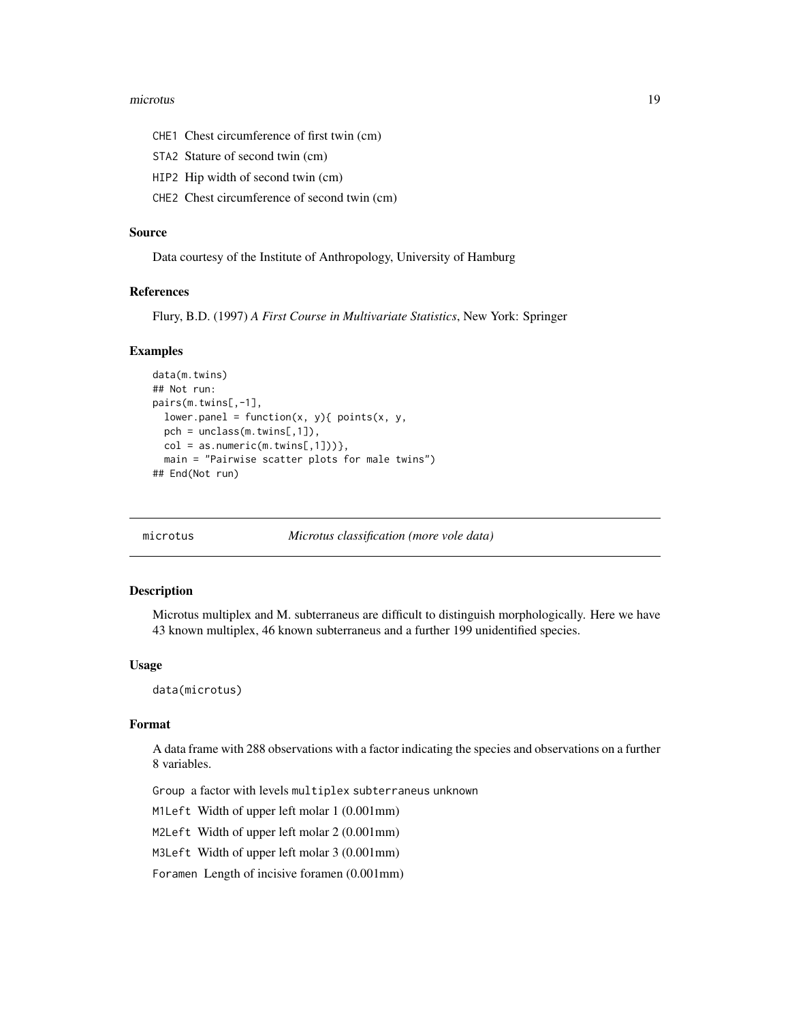#### <span id="page-18-0"></span>microtus and the contract of the contract of the contract of the contract of the contract of the contract of the contract of the contract of the contract of the contract of the contract of the contract of the contract of t

- CHE1 Chest circumference of first twin (cm)
- STA2 Stature of second twin (cm)
- HIP2 Hip width of second twin (cm)
- CHE2 Chest circumference of second twin (cm)

## Source

Data courtesy of the Institute of Anthropology, University of Hamburg

#### References

Flury, B.D. (1997) *A First Course in Multivariate Statistics*, New York: Springer

#### Examples

```
data(m.twins)
## Not run:
pairs(m.twins[,-1],
  lower.panel = function(x, y){ points(x, y),
  pch = unclass(m.twins[,1]),
  col = as.numeric(m.twins[,1])},
  main = "Pairwise scatter plots for male twins")
## End(Not run)
```
microtus *Microtus classification (more vole data)*

#### Description

Microtus multiplex and M. subterraneus are difficult to distinguish morphologically. Here we have 43 known multiplex, 46 known subterraneus and a further 199 unidentified species.

#### Usage

data(microtus)

#### Format

A data frame with 288 observations with a factor indicating the species and observations on a further 8 variables.

Group a factor with levels multiplex subterraneus unknown

M1Left Width of upper left molar 1 (0.001mm)

M2Left Width of upper left molar 2 (0.001mm)

M3Left Width of upper left molar 3 (0.001mm)

Foramen Length of incisive foramen (0.001mm)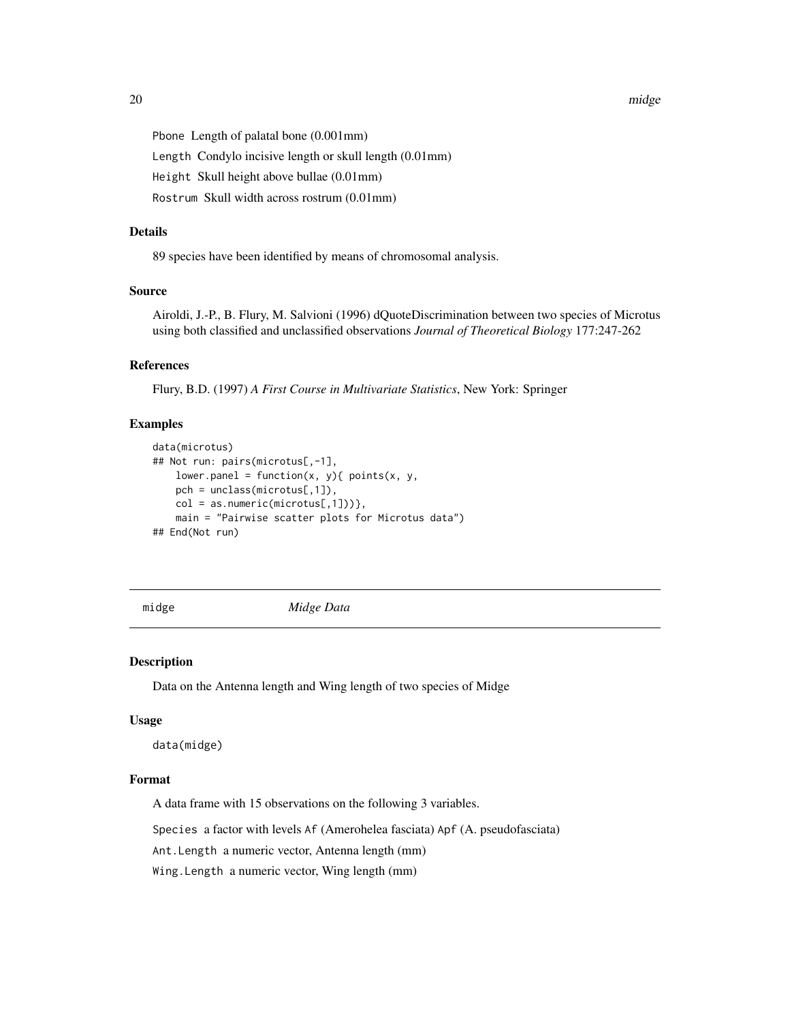<span id="page-19-0"></span>Pbone Length of palatal bone (0.001mm)

Length Condylo incisive length or skull length (0.01mm)

Height Skull height above bullae (0.01mm)

Rostrum Skull width across rostrum (0.01mm)

#### Details

89 species have been identified by means of chromosomal analysis.

#### Source

Airoldi, J.-P., B. Flury, M. Salvioni (1996) dQuoteDiscrimination between two species of Microtus using both classified and unclassified observations *Journal of Theoretical Biology* 177:247-262

## References

Flury, B.D. (1997) *A First Course in Multivariate Statistics*, New York: Springer

#### Examples

```
data(microtus)
## Not run: pairs(microtus[,-1],
   lower.panel = function(x, y){ points(x, y),
   pch = unclass(microtus[,1]),
   col = as.numeric(microtus[,1])),
   main = "Pairwise scatter plots for Microtus data")
## End(Not run)
```
midge *Midge Data*

#### Description

Data on the Antenna length and Wing length of two species of Midge

#### Usage

```
data(midge)
```
#### Format

A data frame with 15 observations on the following 3 variables.

Species a factor with levels Af (Amerohelea fasciata) Apf (A. pseudofasciata)

Ant.Length a numeric vector, Antenna length (mm)

Wing.Length a numeric vector, Wing length (mm)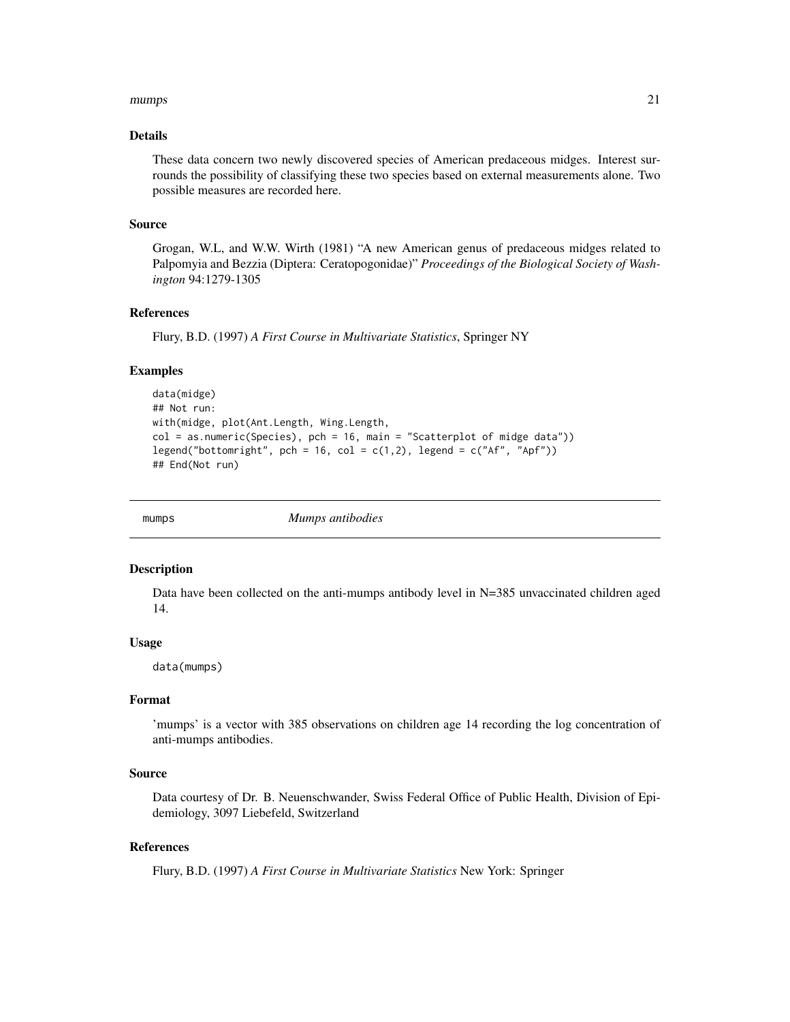#### <span id="page-20-0"></span>mumps 21

## Details

These data concern two newly discovered species of American predaceous midges. Interest surrounds the possibility of classifying these two species based on external measurements alone. Two possible measures are recorded here.

#### Source

Grogan, W.L, and W.W. Wirth (1981) "A new American genus of predaceous midges related to Palpomyia and Bezzia (Diptera: Ceratopogonidae)" *Proceedings of the Biological Society of Washington* 94:1279-1305

#### References

Flury, B.D. (1997) *A First Course in Multivariate Statistics*, Springer NY

#### Examples

```
data(midge)
## Not run:
with(midge, plot(Ant.Length, Wing.Length,
col = as.numeric(Species), pch = 16, main = "Scatterplot of midge data"))
legend("bottomright", pch = 16, col = c(1,2), legend = c("Af", "Apf"))
## End(Not run)
```
mumps *Mumps antibodies*

#### Description

Data have been collected on the anti-mumps antibody level in N=385 unvaccinated children aged 14.

#### Usage

data(mumps)

## Format

'mumps' is a vector with 385 observations on children age 14 recording the log concentration of anti-mumps antibodies.

## Source

Data courtesy of Dr. B. Neuenschwander, Swiss Federal Office of Public Health, Division of Epidemiology, 3097 Liebefeld, Switzerland

## References

Flury, B.D. (1997) *A First Course in Multivariate Statistics* New York: Springer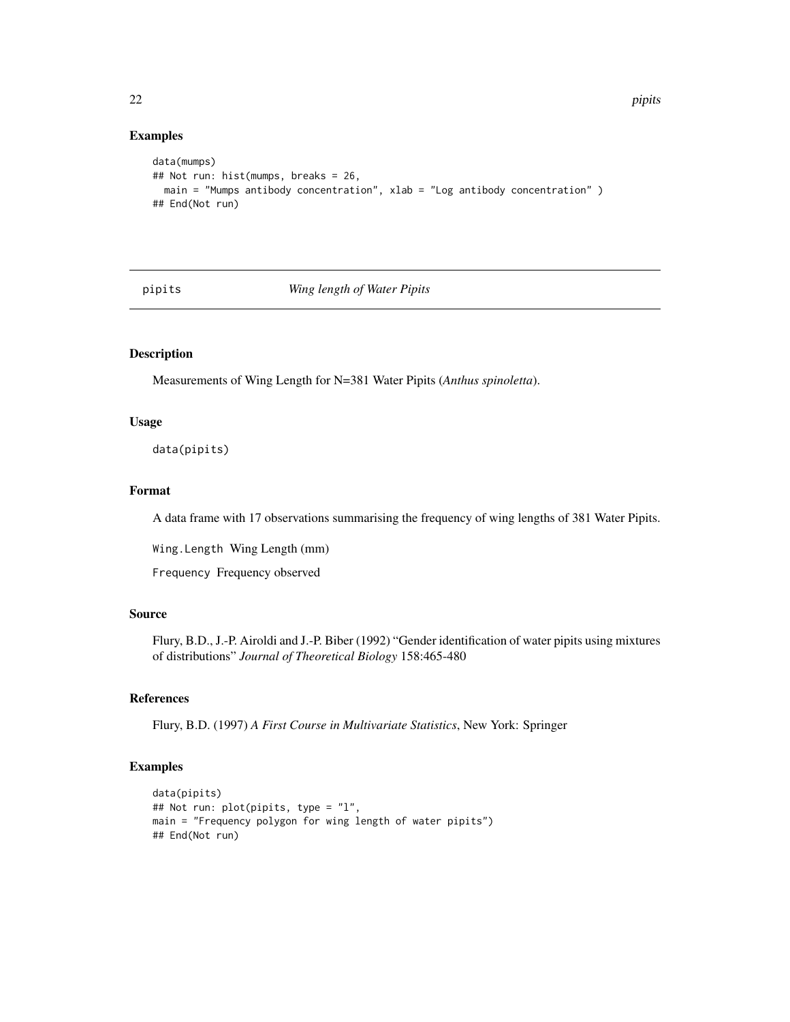#### Examples

```
data(mumps)
## Not run: hist(mumps, breaks = 26,
 main = "Mumps antibody concentration", xlab = "Log antibody concentration" )
## End(Not run)
```
pipits *Wing length of Water Pipits*

## Description

Measurements of Wing Length for N=381 Water Pipits (*Anthus spinoletta*).

#### Usage

data(pipits)

## Format

A data frame with 17 observations summarising the frequency of wing lengths of 381 Water Pipits.

Wing.Length Wing Length (mm)

Frequency Frequency observed

## Source

Flury, B.D., J.-P. Airoldi and J.-P. Biber (1992) "Gender identification of water pipits using mixtures of distributions" *Journal of Theoretical Biology* 158:465-480

#### References

Flury, B.D. (1997) *A First Course in Multivariate Statistics*, New York: Springer

```
data(pipits)
## Not run: plot(pipits, type = "l",
main = "Frequency polygon for wing length of water pipits")
## End(Not run)
```
<span id="page-21-0"></span>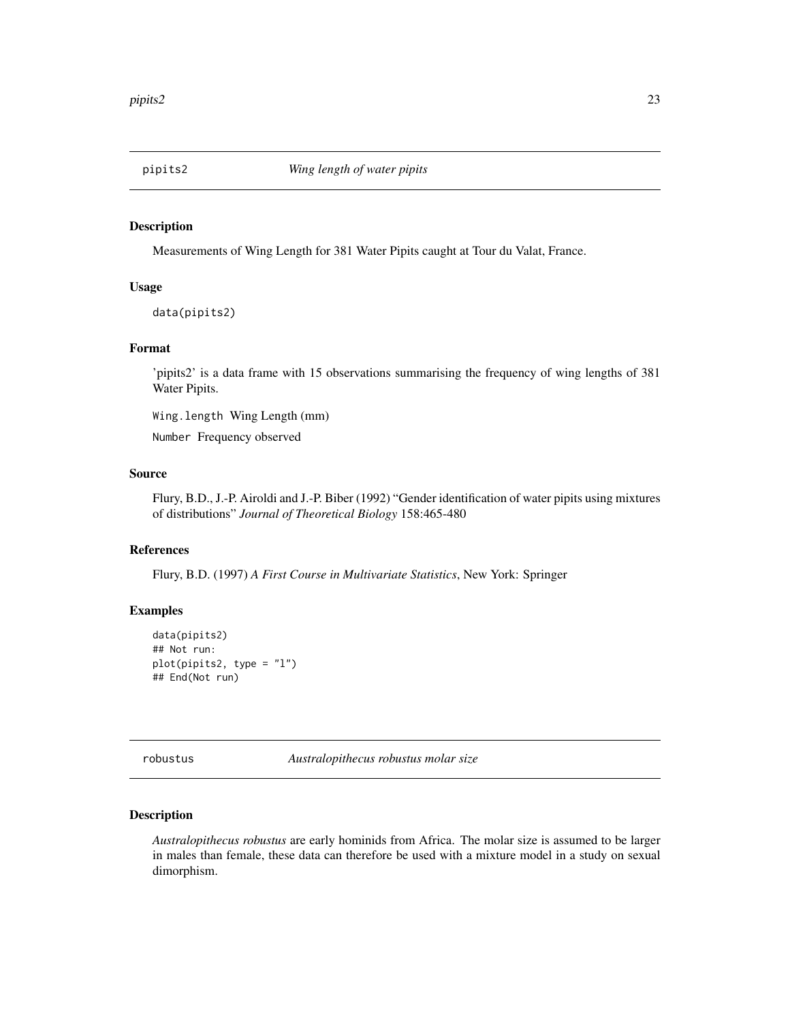<span id="page-22-0"></span>

Measurements of Wing Length for 381 Water Pipits caught at Tour du Valat, France.

#### Usage

data(pipits2)

## Format

'pipits2' is a data frame with 15 observations summarising the frequency of wing lengths of 381 Water Pipits.

Wing.length Wing Length (mm)

Number Frequency observed

#### Source

Flury, B.D., J.-P. Airoldi and J.-P. Biber (1992) "Gender identification of water pipits using mixtures of distributions" *Journal of Theoretical Biology* 158:465-480

## References

Flury, B.D. (1997) *A First Course in Multivariate Statistics*, New York: Springer

## Examples

```
data(pipits2)
## Not run:
plot(pipits2, type = "l")
## End(Not run)
```
robustus *Australopithecus robustus molar size*

## Description

*Australopithecus robustus* are early hominids from Africa. The molar size is assumed to be larger in males than female, these data can therefore be used with a mixture model in a study on sexual dimorphism.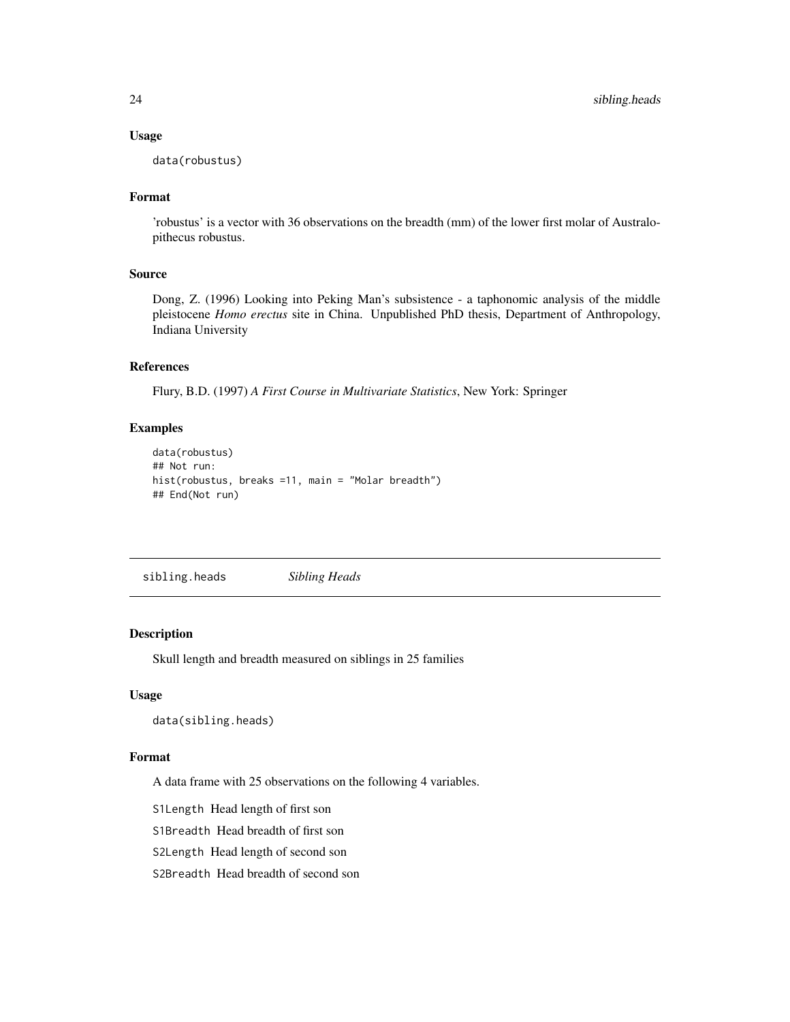#### Usage

data(robustus)

## Format

'robustus' is a vector with 36 observations on the breadth (mm) of the lower first molar of Australopithecus robustus.

#### Source

Dong, Z. (1996) Looking into Peking Man's subsistence - a taphonomic analysis of the middle pleistocene *Homo erectus* site in China. Unpublished PhD thesis, Department of Anthropology, Indiana University

## References

Flury, B.D. (1997) *A First Course in Multivariate Statistics*, New York: Springer

#### Examples

```
data(robustus)
## Not run:
hist(robustus, breaks =11, main = "Molar breadth")
## End(Not run)
```
sibling.heads *Sibling Heads*

## Description

Skull length and breadth measured on siblings in 25 families

## Usage

data(sibling.heads)

#### Format

A data frame with 25 observations on the following 4 variables.

S1Length Head length of first son

S1Breadth Head breadth of first son

S2Length Head length of second son

S2Breadth Head breadth of second son

<span id="page-23-0"></span>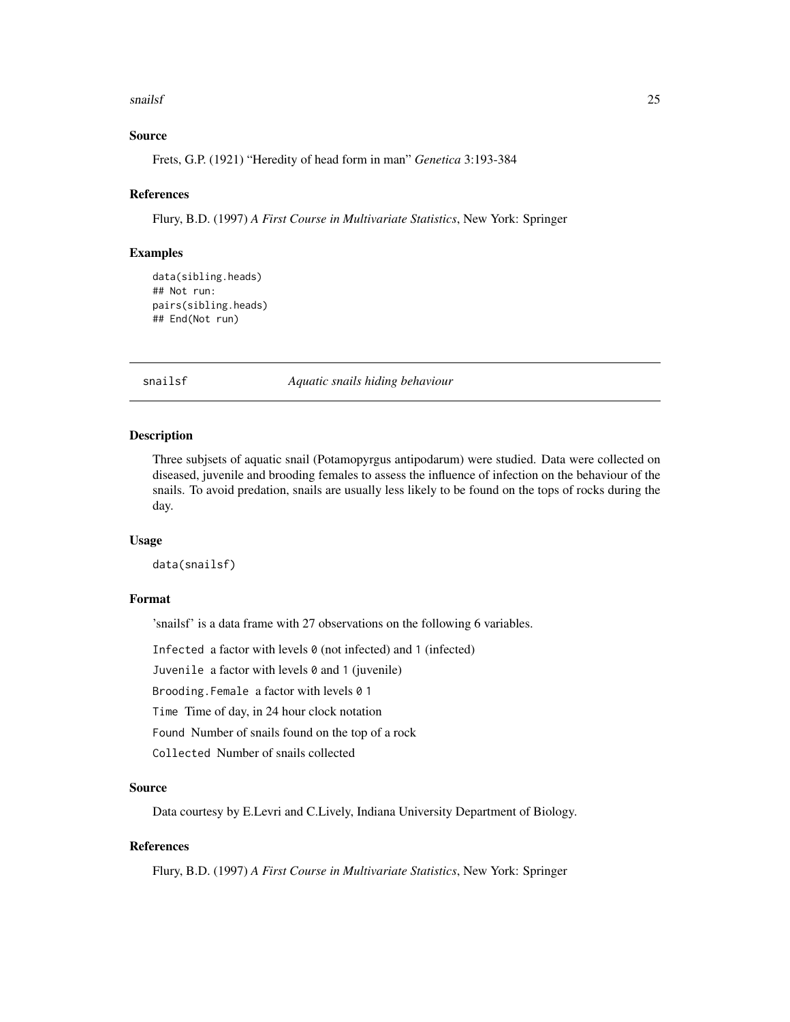#### <span id="page-24-0"></span>snailsf 25

## Source

Frets, G.P. (1921) "Heredity of head form in man" *Genetica* 3:193-384

#### References

Flury, B.D. (1997) *A First Course in Multivariate Statistics*, New York: Springer

#### Examples

```
data(sibling.heads)
## Not run:
pairs(sibling.heads)
## End(Not run)
```
snailsf *Aquatic snails hiding behaviour*

#### Description

Three subjsets of aquatic snail (Potamopyrgus antipodarum) were studied. Data were collected on diseased, juvenile and brooding females to assess the influence of infection on the behaviour of the snails. To avoid predation, snails are usually less likely to be found on the tops of rocks during the day.

## Usage

data(snailsf)

#### Format

'snailsf' is a data frame with 27 observations on the following 6 variables.

Infected a factor with levels  $\theta$  (not infected) and 1 (infected)

Juvenile a factor with levels 0 and 1 (juvenile)

Brooding.Female a factor with levels 0 1

Time Time of day, in 24 hour clock notation

Found Number of snails found on the top of a rock

Collected Number of snails collected

## Source

Data courtesy by E.Levri and C.Lively, Indiana University Department of Biology.

## References

Flury, B.D. (1997) *A First Course in Multivariate Statistics*, New York: Springer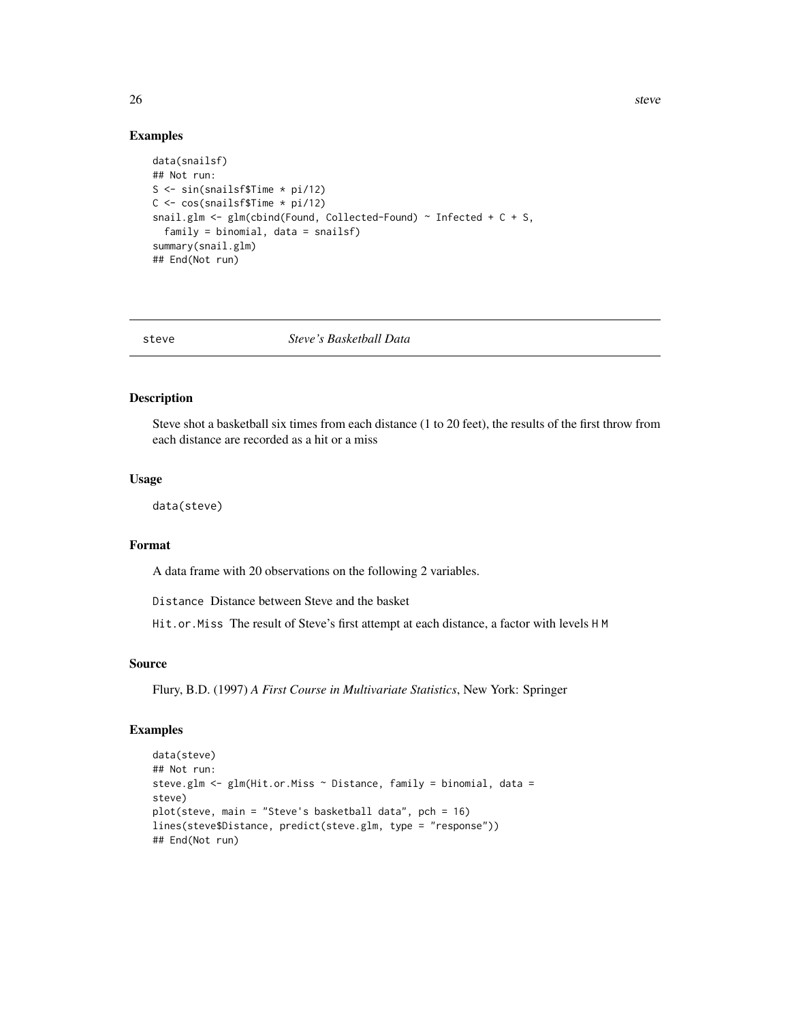#### Examples

```
data(snailsf)
## Not run:
S <- sin(snailsf$Time * pi/12)
C <- cos(snailsf$Time * pi/12)
snail.glm \leq glm(cbind(Found, Collected-Found) \sim Infected + C + S,
  family = binomial, data = snailsf)
summary(snail.glm)
## End(Not run)
```
steve *Steve's Basketball Data*

#### Description

Steve shot a basketball six times from each distance (1 to 20 feet), the results of the first throw from each distance are recorded as a hit or a miss

#### Usage

data(steve)

## Format

A data frame with 20 observations on the following 2 variables.

Distance Distance between Steve and the basket

Hit.or.Miss The result of Steve's first attempt at each distance, a factor with levels H M

#### Source

Flury, B.D. (1997) *A First Course in Multivariate Statistics*, New York: Springer

```
data(steve)
## Not run:
steve.glm <- glm(Hit.or.Miss ~ Distance, family = binomial, data =
steve)
plot(steve, main = "Steve's basketball data", pch = 16)
lines(steve$Distance, predict(steve.glm, type = "response"))
## End(Not run)
```
<span id="page-25-0"></span>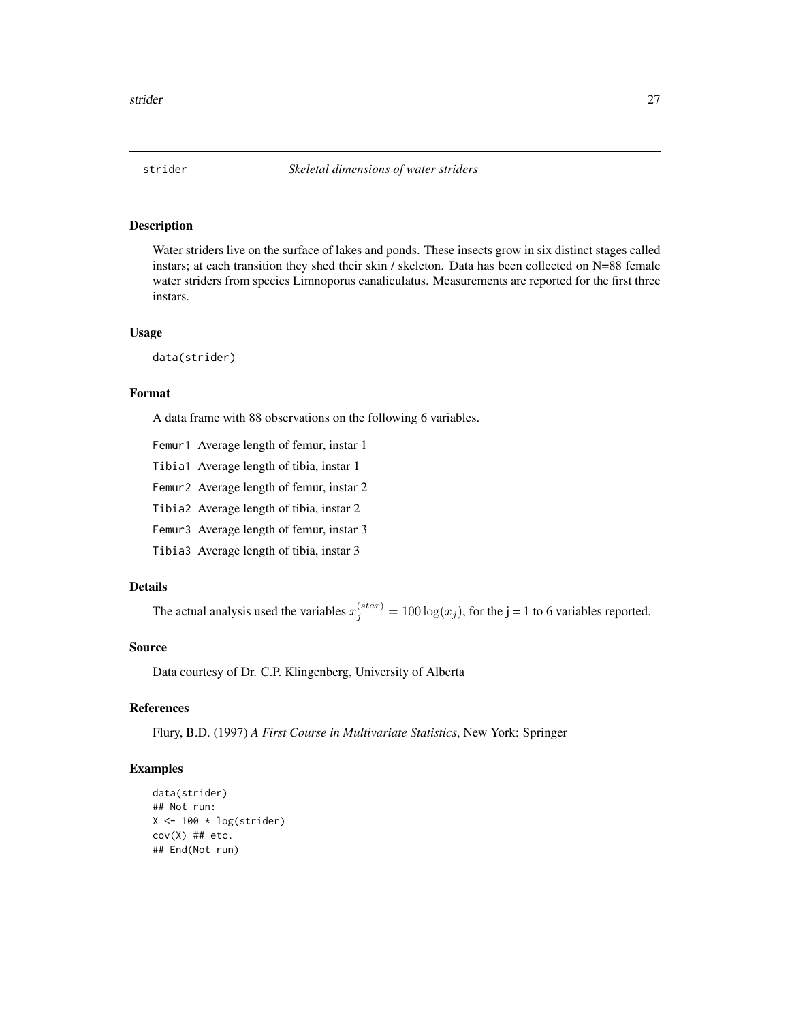<span id="page-26-0"></span>

Water striders live on the surface of lakes and ponds. These insects grow in six distinct stages called instars; at each transition they shed their skin / skeleton. Data has been collected on N=88 female water striders from species Limnoporus canaliculatus. Measurements are reported for the first three instars.

#### Usage

data(strider)

## Format

A data frame with 88 observations on the following 6 variables.

- Femur1 Average length of femur, instar 1
- Tibia1 Average length of tibia, instar 1
- Femur2 Average length of femur, instar 2
- Tibia2 Average length of tibia, instar 2
- Femur3 Average length of femur, instar 3
- Tibia3 Average length of tibia, instar 3

## Details

The actual analysis used the variables  $x_j^{(star)} = 100 \log(x_j)$ , for the j = 1 to 6 variables reported.

#### Source

Data courtesy of Dr. C.P. Klingenberg, University of Alberta

#### References

Flury, B.D. (1997) *A First Course in Multivariate Statistics*, New York: Springer

```
data(strider)
## Not run:
X \leftarrow 100 * log(strider)cov(X) ## etc.
## End(Not run)
```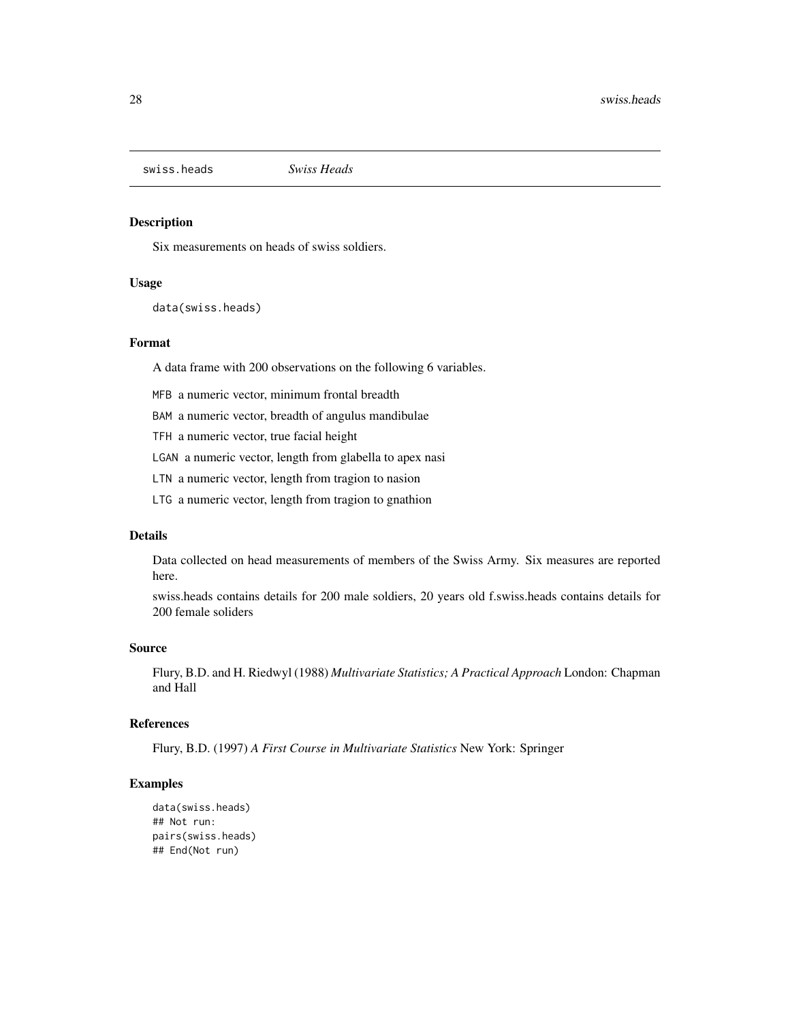<span id="page-27-0"></span>swiss.heads *Swiss Heads*

## Description

Six measurements on heads of swiss soldiers.

## Usage

data(swiss.heads)

#### Format

A data frame with 200 observations on the following 6 variables.

MFB a numeric vector, minimum frontal breadth

BAM a numeric vector, breadth of angulus mandibulae

TFH a numeric vector, true facial height

LGAN a numeric vector, length from glabella to apex nasi

LTN a numeric vector, length from tragion to nasion

LTG a numeric vector, length from tragion to gnathion

## Details

Data collected on head measurements of members of the Swiss Army. Six measures are reported here.

swiss.heads contains details for 200 male soldiers, 20 years old f.swiss.heads contains details for 200 female soliders

## Source

Flury, B.D. and H. Riedwyl (1988) *Multivariate Statistics; A Practical Approach* London: Chapman and Hall

## References

Flury, B.D. (1997) *A First Course in Multivariate Statistics* New York: Springer

```
data(swiss.heads)
## Not run:
pairs(swiss.heads)
## End(Not run)
```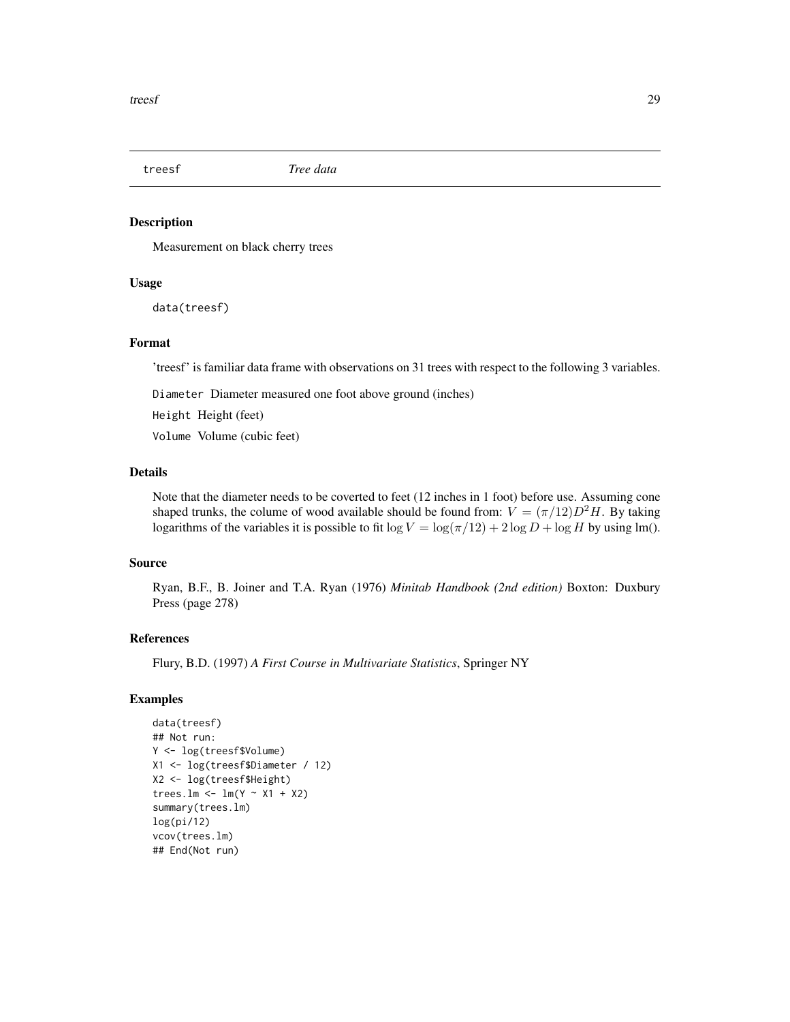<span id="page-28-0"></span>

Measurement on black cherry trees

#### Usage

data(treesf)

#### Format

'treesf' is familiar data frame with observations on 31 trees with respect to the following 3 variables.

Diameter Diameter measured one foot above ground (inches)

Height Height (feet)

Volume Volume (cubic feet)

## Details

Note that the diameter needs to be coverted to feet (12 inches in 1 foot) before use. Assuming cone shaped trunks, the colume of wood available should be found from:  $V = (\pi/12)D^2H$ . By taking logarithms of the variables it is possible to fit  $\log V = \log(\pi/12) + 2 \log D + \log H$  by using lm().

#### Source

Ryan, B.F., B. Joiner and T.A. Ryan (1976) *Minitab Handbook (2nd edition)* Boxton: Duxbury Press (page 278)

## References

Flury, B.D. (1997) *A First Course in Multivariate Statistics*, Springer NY

```
data(treesf)
## Not run:
Y <- log(treesf$Volume)
X1 <- log(treesf$Diameter / 12)
X2 <- log(treesf$Height)
trees.lm <- lm(Y \sim X1 + X2)summary(trees.lm)
log(pi/12)
vcov(trees.lm)
## End(Not run)
```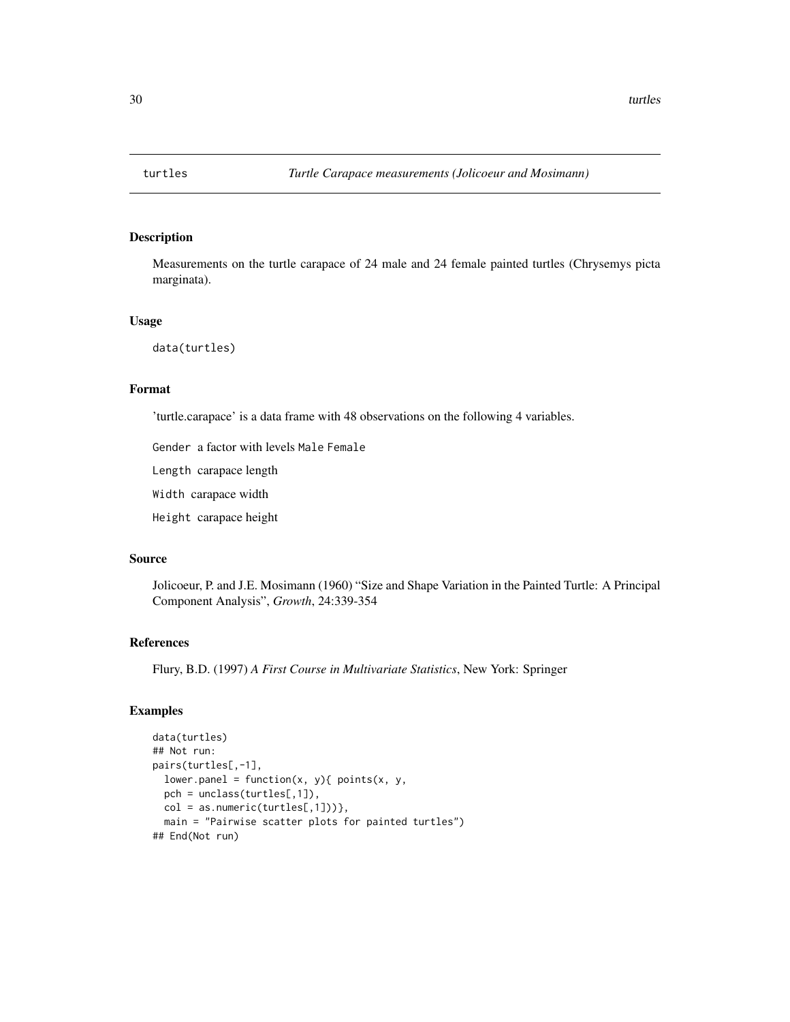<span id="page-29-0"></span>

Measurements on the turtle carapace of 24 male and 24 female painted turtles (Chrysemys picta marginata).

#### Usage

data(turtles)

## Format

'turtle.carapace' is a data frame with 48 observations on the following 4 variables.

Gender a factor with levels Male Female

Length carapace length

Width carapace width

Height carapace height

#### Source

Jolicoeur, P. and J.E. Mosimann (1960) "Size and Shape Variation in the Painted Turtle: A Principal Component Analysis", *Growth*, 24:339-354

## References

Flury, B.D. (1997) *A First Course in Multivariate Statistics*, New York: Springer

```
data(turtles)
## Not run:
pairs(turtles[,-1],
 lower.panel = function(x, y){ points(x, y),
  pch = unclass(turtles[,1]),
  col = as.numeric(turtles[,1])},
  main = "Pairwise scatter plots for painted turtles")
## End(Not run)
```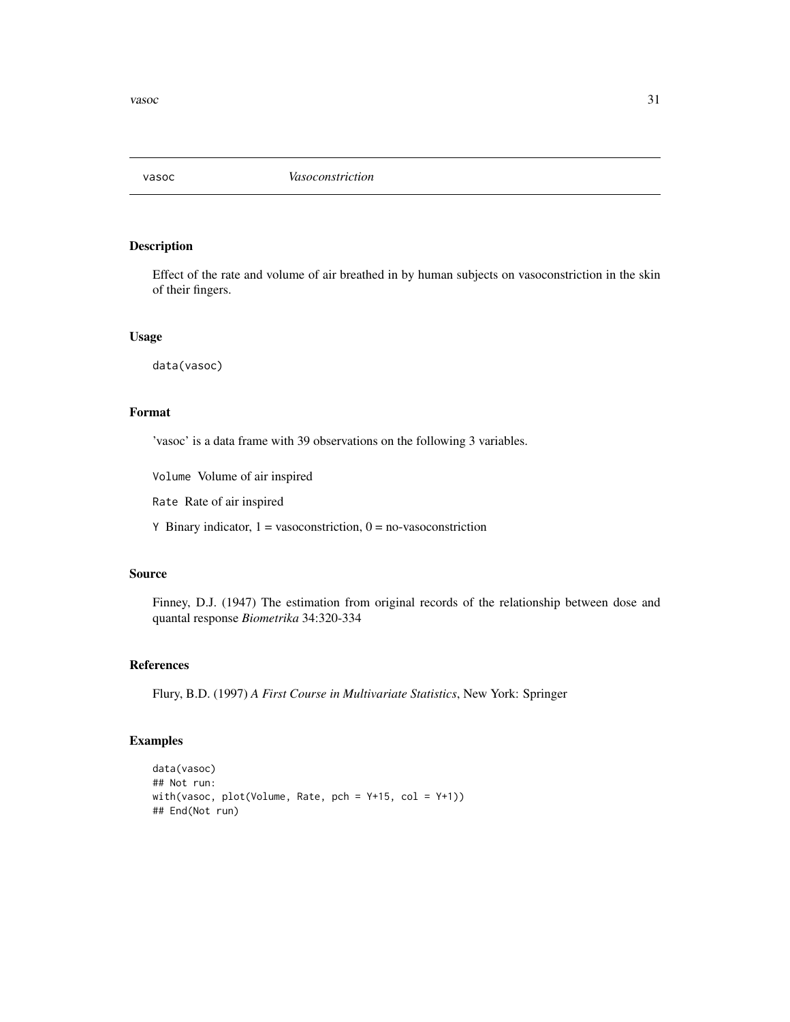<span id="page-30-0"></span>

Effect of the rate and volume of air breathed in by human subjects on vasoconstriction in the skin of their fingers.

#### Usage

data(vasoc)

## Format

'vasoc' is a data frame with 39 observations on the following 3 variables.

Volume Volume of air inspired

Rate Rate of air inspired

Y Binary indicator,  $1 = v$ asoconstriction,  $0 =$  no-vasoconstriction

## Source

Finney, D.J. (1947) The estimation from original records of the relationship between dose and quantal response *Biometrika* 34:320-334

## References

Flury, B.D. (1997) *A First Course in Multivariate Statistics*, New York: Springer

```
data(vasoc)
## Not run:
with(vasoc, plot(Volume, Rate, pch = Y+15, col = Y+1))
## End(Not run)
```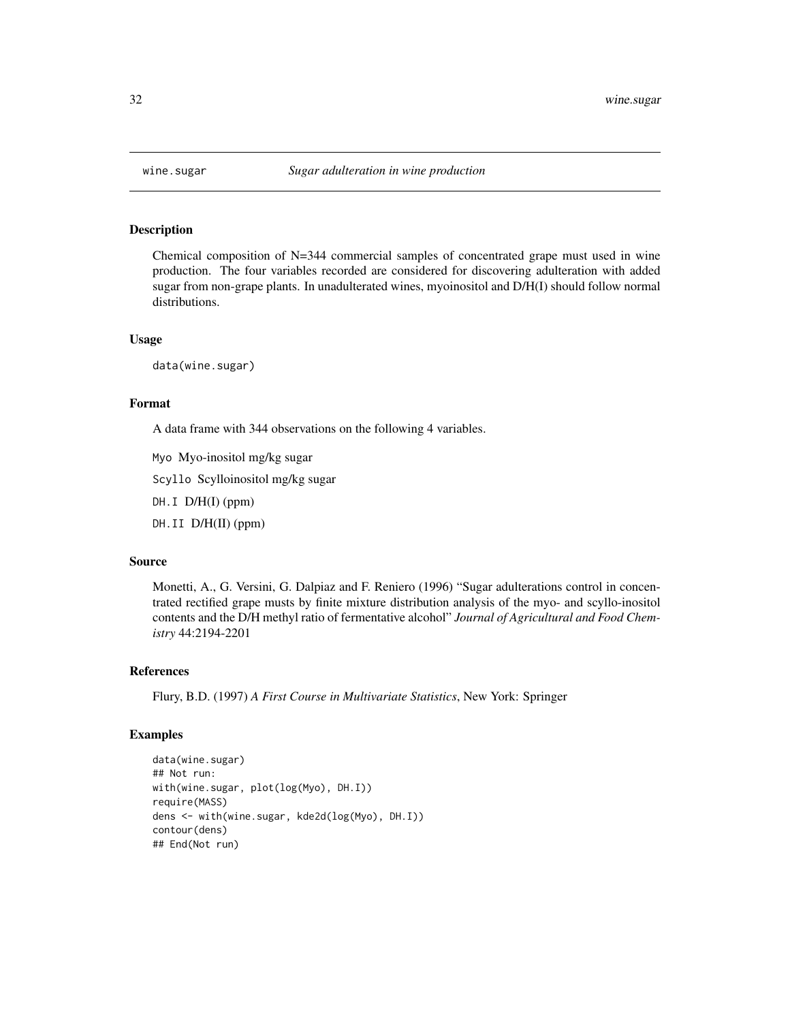<span id="page-31-0"></span>

Chemical composition of N=344 commercial samples of concentrated grape must used in wine production. The four variables recorded are considered for discovering adulteration with added sugar from non-grape plants. In unadulterated wines, myoinositol and D/H(I) should follow normal distributions.

#### Usage

data(wine.sugar)

## Format

A data frame with 344 observations on the following 4 variables.

Myo Myo-inositol mg/kg sugar

Scyllo Scylloinositol mg/kg sugar

 $DH.I$  D/ $H(I)$  (ppm)

DH.II D/H(II) (ppm)

#### Source

Monetti, A., G. Versini, G. Dalpiaz and F. Reniero (1996) "Sugar adulterations control in concentrated rectified grape musts by finite mixture distribution analysis of the myo- and scyllo-inositol contents and the D/H methyl ratio of fermentative alcohol" *Journal of Agricultural and Food Chemistry* 44:2194-2201

#### References

Flury, B.D. (1997) *A First Course in Multivariate Statistics*, New York: Springer

```
data(wine.sugar)
## Not run:
with(wine.sugar, plot(log(Myo), DH.I))
require(MASS)
dens <- with(wine.sugar, kde2d(log(Myo), DH.I))
contour(dens)
## End(Not run)
```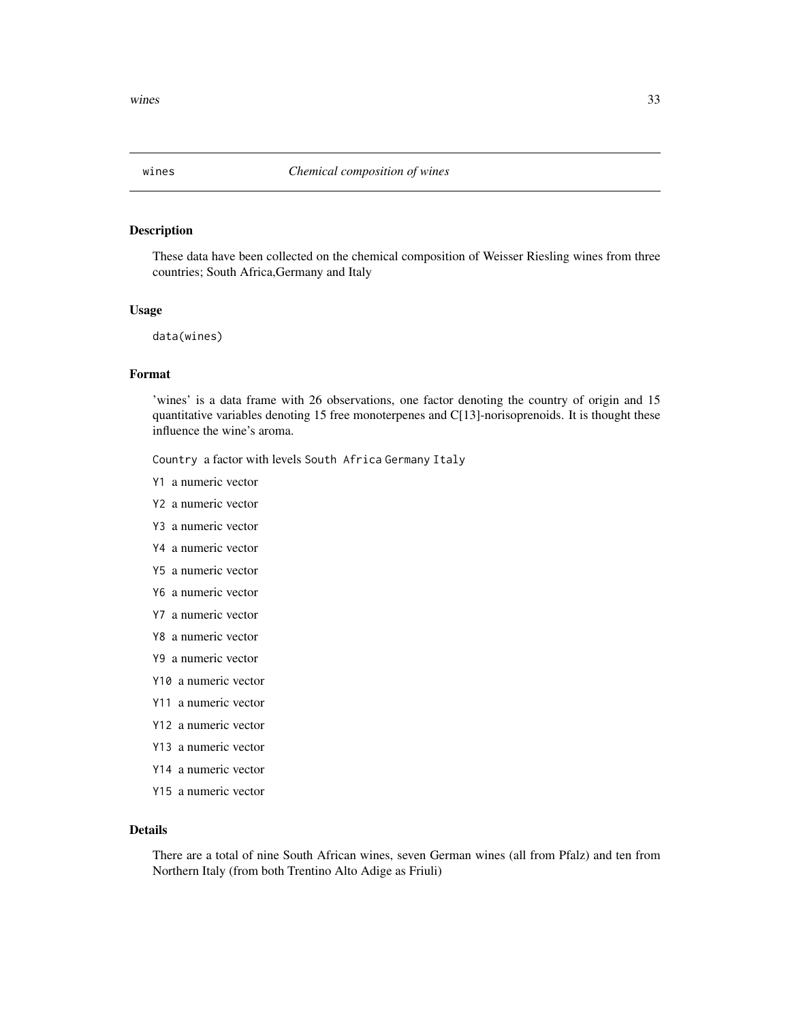<span id="page-32-0"></span>

These data have been collected on the chemical composition of Weisser Riesling wines from three countries; South Africa,Germany and Italy

#### Usage

data(wines)

#### Format

'wines' is a data frame with 26 observations, one factor denoting the country of origin and 15 quantitative variables denoting 15 free monoterpenes and C[13]-norisoprenoids. It is thought these influence the wine's aroma.

Country a factor with levels South Africa Germany Italy

- Y1 a numeric vector
- Y2 a numeric vector
- Y3 a numeric vector
- Y4 a numeric vector
- Y5 a numeric vector
- Y6 a numeric vector
- Y7 a numeric vector
- Y8 a numeric vector
- Y9 a numeric vector
- Y10 a numeric vector
- Y11 a numeric vector
- Y12 a numeric vector
- Y13 a numeric vector
- Y14 a numeric vector
- Y15 a numeric vector

## Details

There are a total of nine South African wines, seven German wines (all from Pfalz) and ten from Northern Italy (from both Trentino Alto Adige as Friuli)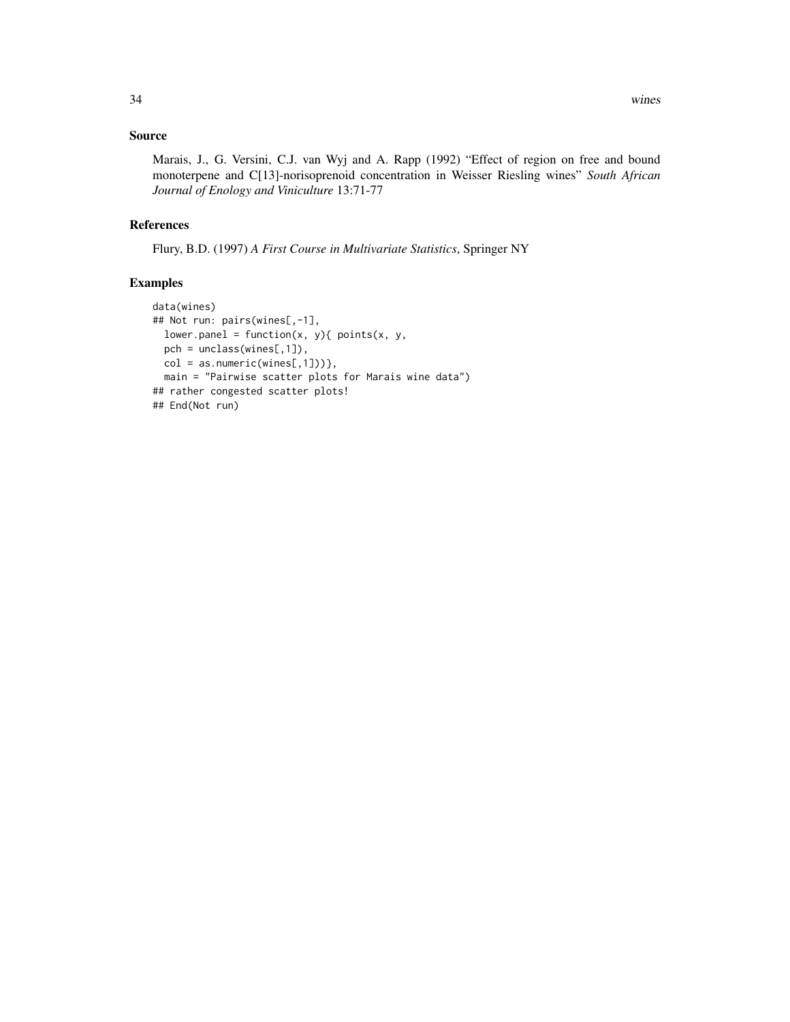### Source

Marais, J., G. Versini, C.J. van Wyj and A. Rapp (1992) "Effect of region on free and bound monoterpene and C[13]-norisoprenoid concentration in Weisser Riesling wines" *South African Journal of Enology and Viniculture* 13:71-77

#### References

Flury, B.D. (1997) *A First Course in Multivariate Statistics*, Springer NY

```
data(wines)
## Not run: pairs(wines[,-1],
  lower.panel = function(x, y){ points(x, y),
  pch = unclass(wines[,1]),
 col = as.numeric(wines[, 1])),
  main = "Pairwise scatter plots for Marais wine data")
## rather congested scatter plots!
## End(Not run)
```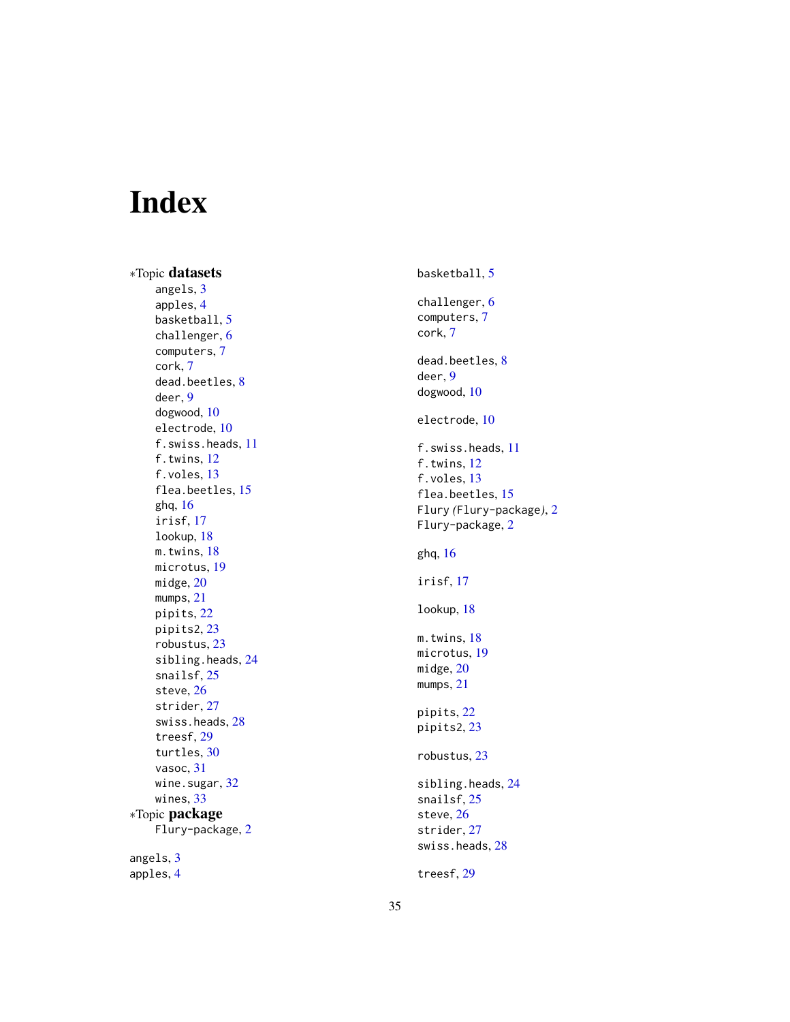# <span id="page-34-0"></span>Index

∗Topic datasets angels, [3](#page-2-0) apples , [4](#page-3-0) basketball , [5](#page-4-0) challenger , [6](#page-5-0) computers , [7](#page-6-0) cork , [7](#page-6-0) dead.beetles, [8](#page-7-0) deer , [9](#page-8-0) dogwood , [10](#page-9-0) electrode , [10](#page-9-0) f.swiss.heads , [11](#page-10-0) f.twins , [12](#page-11-0) f.voles , [13](#page-12-0) flea.beetles, [15](#page-14-0) ghq , [16](#page-15-0) irisf , [17](#page-16-0) lookup , [18](#page-17-0) m.twins, [18](#page-17-0) microtus , [19](#page-18-0) midge , [20](#page-19-0) mumps, [21](#page-20-0) pipits , [22](#page-21-0) pipits2 , [23](#page-22-0) robustus , [23](#page-22-0) sibling.heads, [24](#page-23-0) snailsf , [25](#page-24-0) steve , [26](#page-25-0) strider , [27](#page-26-0) swiss.heads , [28](#page-27-0) treesf , [29](#page-28-0) turtles , [30](#page-29-0) vasoc , [31](#page-30-0) wine.sugar, [32](#page-31-0) wines, [33](#page-32-0) ∗Topic package Flury-package , [2](#page-1-0) angels, [3](#page-2-0) apples , [4](#page-3-0)

basketball, <mark>[5](#page-4-0)</mark> challenger, [6](#page-5-0) computers , [7](#page-6-0) cork , [7](#page-6-0) dead.beetles, <mark>[8](#page-7-0)</mark> deer , [9](#page-8-0) dogwood , [10](#page-9-0) electrode , [10](#page-9-0) f.swiss.heads , [11](#page-10-0) f.twins, [12](#page-11-0) f.voles, [13](#page-12-0) flea.beetles , [15](#page-14-0) Flury *(*Flury-package *)* , [2](#page-1-0) Flury-package, [2](#page-1-0) ghq , [16](#page-15-0) irisf , [17](#page-16-0) lookup , [18](#page-17-0) m.twins, [18](#page-17-0) microtus , [19](#page-18-0) midge , [20](#page-19-0) mumps, [21](#page-20-0) pipits , [22](#page-21-0) pipits2 , [23](#page-22-0) robustus , [23](#page-22-0) sibling.heads, [24](#page-23-0) snailsf , [25](#page-24-0) steve , [26](#page-25-0) strider , [27](#page-26-0) swiss.heads, [28](#page-27-0) treesf , [29](#page-28-0)